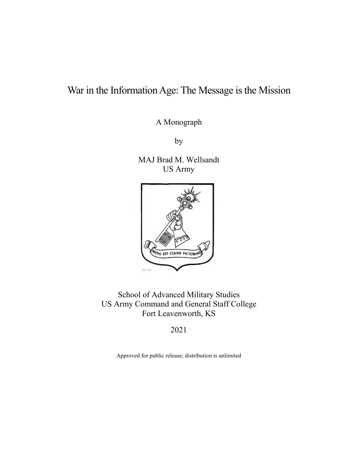# War in the Information Age: The Message is the Mission

A Monograph

by

MAJ Brad M. Wellsandt US Army



School of Advanced Military Studies US Army Command and General Staff College Fort Leavenworth, KS

2021

Approved for public release; distribution is unlimited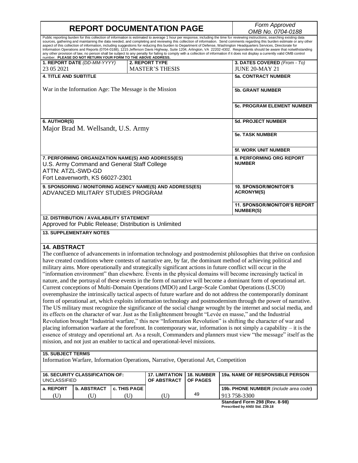$\mathsf I$ 

٦

| <b>REPORT DOCUMENTATION PAGE</b>                                                                                                                          |                                                                                                            |              |                                                                                      |                        | Form Approved                                                                                                                                                                                                                                                                                                                                                                                                                                                                                                                                                                                                                                                                                                                                                                                                                                                                                                                                                                                                                                                                                                                                                                                                                                                                                                                                                                                                                                                                                                                                |
|-----------------------------------------------------------------------------------------------------------------------------------------------------------|------------------------------------------------------------------------------------------------------------|--------------|--------------------------------------------------------------------------------------|------------------------|----------------------------------------------------------------------------------------------------------------------------------------------------------------------------------------------------------------------------------------------------------------------------------------------------------------------------------------------------------------------------------------------------------------------------------------------------------------------------------------------------------------------------------------------------------------------------------------------------------------------------------------------------------------------------------------------------------------------------------------------------------------------------------------------------------------------------------------------------------------------------------------------------------------------------------------------------------------------------------------------------------------------------------------------------------------------------------------------------------------------------------------------------------------------------------------------------------------------------------------------------------------------------------------------------------------------------------------------------------------------------------------------------------------------------------------------------------------------------------------------------------------------------------------------|
|                                                                                                                                                           |                                                                                                            |              |                                                                                      |                        | OMB No. 0704-0188<br>Public reporting burden for this collection of information is estimated to average 1 hour per response, including the time for reviewing instructions, searching existing data                                                                                                                                                                                                                                                                                                                                                                                                                                                                                                                                                                                                                                                                                                                                                                                                                                                                                                                                                                                                                                                                                                                                                                                                                                                                                                                                          |
|                                                                                                                                                           | number. PLEASE DO NOT RETURN YOUR FORM TO THE ABOVE ADDRESS.                                               |              |                                                                                      |                        | sources, gathering and maintaining the data needed, and completing and reviewing this collection of information. Send comments regarding this burden estimate or any other<br>aspect of this collection of information, including suggestions for reducing this burden to Department of Defense, Washington Headquarters Services, Directorate for<br>Information Operations and Reports (0704-0188), 1215 Jefferson Davis Highway, Suite 1204, Arlington, VA 22202-4302. Respondents should be aware that notwithstanding<br>any other provision of law, no person shall be subject to any penalty for failing to comply with a collection of information if it does not display a currently valid OMB control                                                                                                                                                                                                                                                                                                                                                                                                                                                                                                                                                                                                                                                                                                                                                                                                                              |
| 23 05 2021                                                                                                                                                | 1. REPORT DATE (DD-MM-YYYY)                                                                                |              | 2. REPORT TYPE<br><b>MASTER'S THESIS</b>                                             |                        | 3. DATES COVERED (From - To)<br><b>JUNE 20-MAY 21</b>                                                                                                                                                                                                                                                                                                                                                                                                                                                                                                                                                                                                                                                                                                                                                                                                                                                                                                                                                                                                                                                                                                                                                                                                                                                                                                                                                                                                                                                                                        |
| <b>4. TITLE AND SUBTITLE</b>                                                                                                                              |                                                                                                            |              |                                                                                      |                        | <b>5a. CONTRACT NUMBER</b>                                                                                                                                                                                                                                                                                                                                                                                                                                                                                                                                                                                                                                                                                                                                                                                                                                                                                                                                                                                                                                                                                                                                                                                                                                                                                                                                                                                                                                                                                                                   |
| War in the Information Age: The Message is the Mission                                                                                                    |                                                                                                            |              |                                                                                      |                        | <b>5b. GRANT NUMBER</b>                                                                                                                                                                                                                                                                                                                                                                                                                                                                                                                                                                                                                                                                                                                                                                                                                                                                                                                                                                                                                                                                                                                                                                                                                                                                                                                                                                                                                                                                                                                      |
|                                                                                                                                                           |                                                                                                            |              |                                                                                      |                        | <b>5c. PROGRAM ELEMENT NUMBER</b>                                                                                                                                                                                                                                                                                                                                                                                                                                                                                                                                                                                                                                                                                                                                                                                                                                                                                                                                                                                                                                                                                                                                                                                                                                                                                                                                                                                                                                                                                                            |
| 6. AUTHOR(S)                                                                                                                                              |                                                                                                            |              |                                                                                      |                        | <b>5d. PROJECT NUMBER</b>                                                                                                                                                                                                                                                                                                                                                                                                                                                                                                                                                                                                                                                                                                                                                                                                                                                                                                                                                                                                                                                                                                                                                                                                                                                                                                                                                                                                                                                                                                                    |
| Major Brad M. Wellsandt, U.S. Army                                                                                                                        |                                                                                                            |              |                                                                                      |                        | <b>5e. TASK NUMBER</b>                                                                                                                                                                                                                                                                                                                                                                                                                                                                                                                                                                                                                                                                                                                                                                                                                                                                                                                                                                                                                                                                                                                                                                                                                                                                                                                                                                                                                                                                                                                       |
|                                                                                                                                                           |                                                                                                            |              |                                                                                      |                        | <b>5f. WORK UNIT NUMBER</b>                                                                                                                                                                                                                                                                                                                                                                                                                                                                                                                                                                                                                                                                                                                                                                                                                                                                                                                                                                                                                                                                                                                                                                                                                                                                                                                                                                                                                                                                                                                  |
| 7. PERFORMING ORGANIZATION NAME(S) AND ADDRESS(ES)<br>U.S. Army Command and General Staff College<br>ATTN: ATZL-SWD-GD<br>Fort Leavenworth, KS 66027-2301 |                                                                                                            |              |                                                                                      |                        | <b>8. PERFORMING ORG REPORT</b><br><b>NUMBER</b>                                                                                                                                                                                                                                                                                                                                                                                                                                                                                                                                                                                                                                                                                                                                                                                                                                                                                                                                                                                                                                                                                                                                                                                                                                                                                                                                                                                                                                                                                             |
| 9. SPONSORING / MONITORING AGENCY NAME(S) AND ADDRESS(ES)<br>ADVANCED MILITARY STUDIES PROGRAM                                                            |                                                                                                            |              |                                                                                      |                        | <b>10. SPONSOR/MONITOR'S</b><br><b>ACRONYM(S)</b>                                                                                                                                                                                                                                                                                                                                                                                                                                                                                                                                                                                                                                                                                                                                                                                                                                                                                                                                                                                                                                                                                                                                                                                                                                                                                                                                                                                                                                                                                            |
|                                                                                                                                                           |                                                                                                            |              |                                                                                      |                        | <b>11. SPONSOR/MONITOR'S REPORT</b><br><b>NUMBER(S)</b>                                                                                                                                                                                                                                                                                                                                                                                                                                                                                                                                                                                                                                                                                                                                                                                                                                                                                                                                                                                                                                                                                                                                                                                                                                                                                                                                                                                                                                                                                      |
|                                                                                                                                                           | <b>12. DISTRIBUTION / AVAILABILITY STATEMENT</b><br>Approved for Public Release; Distribution is Unlimited |              |                                                                                      |                        |                                                                                                                                                                                                                                                                                                                                                                                                                                                                                                                                                                                                                                                                                                                                                                                                                                                                                                                                                                                                                                                                                                                                                                                                                                                                                                                                                                                                                                                                                                                                              |
|                                                                                                                                                           | <b>13. SUPPLEMENTARY NOTES</b>                                                                             |              |                                                                                      |                        |                                                                                                                                                                                                                                                                                                                                                                                                                                                                                                                                                                                                                                                                                                                                                                                                                                                                                                                                                                                                                                                                                                                                                                                                                                                                                                                                                                                                                                                                                                                                              |
| <b>14. ABSTRACT</b>                                                                                                                                       |                                                                                                            |              | mission, and not just an enabler to tactical and operational-level missions.         |                        | The confluence of advancements in information technology and postmodernist philosophies that thrive on confusion<br>have created conditions where contests of narrative are, by far, the dominant method of achieving political and<br>military aims. More operationally and strategically significant actions in future conflict will occur in the<br>"information environment" than elsewhere. Events in the physical domains will become increasingly tactical in<br>nature, and the portrayal of these events in the form of narrative will become a dominant form of operational art.<br>Current conceptions of Multi-Domain Operations (MDO) and Large-Scale Combat Operations (LSCO)<br>overemphasize the intrinsically tactical aspects of future warfare and do not address the contemporarily dominant<br>form of operational art, which exploits information technology and postmodernism through the power of narrative.<br>The US military must recognize the significance of the social change wrought by the internet and social media, and<br>its effects on the character of war. Just as the Enlightenment brought "Levée en masse," and the Industrial<br>Revolution brought "Industrial warfare," this new "Information Revolution" is shifting the character of war and<br>placing information warfare at the forefront. In contemporary war, information is not simply a capability – it is the<br>essence of strategy and operational art. As a result, Commanders and planners must view "the message" itself as the |
| <b>15. SUBJECT TERMS</b>                                                                                                                                  |                                                                                                            |              | Information Warfare, Information Operations, Narrative, Operational Art, Competition |                        |                                                                                                                                                                                                                                                                                                                                                                                                                                                                                                                                                                                                                                                                                                                                                                                                                                                                                                                                                                                                                                                                                                                                                                                                                                                                                                                                                                                                                                                                                                                                              |
| <b>16. SECURITY CLASSIFICATION OF:</b><br><b>UNCLASSIFIED</b>                                                                                             |                                                                                                            |              | <b>17. LIMITATION</b><br>OF ABSTRACT                                                 | 18. NUMBER<br>OF PAGES | 19a. NAME OF RESPONSIBLE PERSON                                                                                                                                                                                                                                                                                                                                                                                                                                                                                                                                                                                                                                                                                                                                                                                                                                                                                                                                                                                                                                                                                                                                                                                                                                                                                                                                                                                                                                                                                                              |
| a. REPORT                                                                                                                                                 | <b>b. ABSTRACT</b>                                                                                         | c. THIS PAGE |                                                                                      | 49                     | 19b. PHONE NUMBER (include area code)                                                                                                                                                                                                                                                                                                                                                                                                                                                                                                                                                                                                                                                                                                                                                                                                                                                                                                                                                                                                                                                                                                                                                                                                                                                                                                                                                                                                                                                                                                        |
| (T <sub>D</sub> )                                                                                                                                         | (11)                                                                                                       | (11)         | (TI)                                                                                 |                        | 913 758-3300                                                                                                                                                                                                                                                                                                                                                                                                                                                                                                                                                                                                                                                                                                                                                                                                                                                                                                                                                                                                                                                                                                                                                                                                                                                                                                                                                                                                                                                                                                                                 |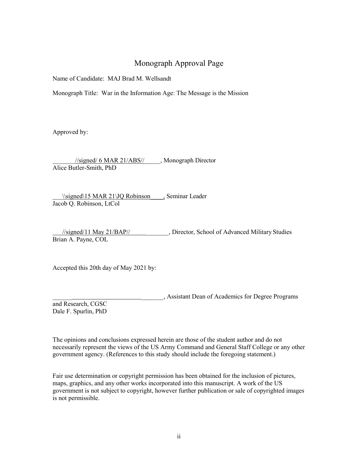## Monograph Approval Page

<span id="page-2-0"></span>Name of Candidate: MAJ Brad M. Wellsandt

Monograph Title: War in the Information Age: The Message is the Mission

Approved by:

\_\_\_\_\_\_\_//signed/ 6 MAR 21/ABS//\_\_\_\_\_, Monograph Director Alice Butler-Smith, PhD

\\signed\15 MAR 21\JQ Robinson , Seminar Leader Jacob Q. Robinson, LtCol

 //signed/11 May 21/BAP// \_\_\_\_\_\_\_, Director, School of Advanced Military Studies Brian A. Payne, COL

Accepted this 20th day of May 2021 by:

\_\_\_\_\_\_ \_\_\_\_\_\_\_, Assistant Dean of Academics for Degree Programs

and Research, CGSC Dale F. Spurlin, PhD

The opinions and conclusions expressed herein are those of the student author and do not necessarily represent the views of the US Army Command and General Staff College or any other government agency. (References to this study should include the foregoing statement.)

Fair use determination or copyright permission has been obtained for the inclusion of pictures, maps, graphics, and any other works incorporated into this manuscript. A work of the US government is not subject to copyright, however further publication or sale of copyrighted images is not permissible.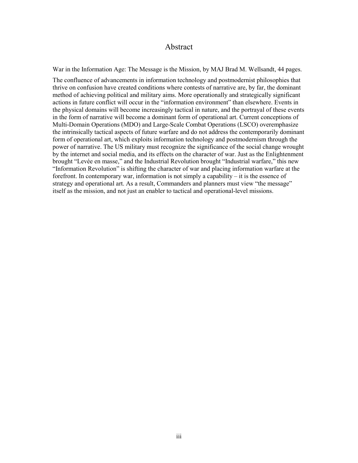#### Abstract

War in the Information Age: The Message is the Mission, by MAJ Brad M. Wellsandt, 44 pages.

The confluence of advancements in information technology and postmodernist philosophies that thrive on confusion have created conditions where contests of narrative are, by far, the dominant method of achieving political and military aims. More operationally and strategically significant actions in future conflict will occur in the "information environment" than elsewhere. Events in the physical domains will become increasingly tactical in nature, and the portrayal of these events in the form of narrative will become a dominant form of operational art. Current conceptions of Multi-Domain Operations (MDO) and Large-Scale Combat Operations (LSCO) overemphasize the intrinsically tactical aspects of future warfare and do not address the contemporarily dominant form of operational art, which exploits information technology and postmodernism through the power of narrative. The US military must recognize the significance of the social change wrought by the internet and social media, and its effects on the character of war. Just as the Enlightenment brought "Levée en masse," and the Industrial Revolution brought "Industrial warfare," this new "Information Revolution" is shifting the character of war and placing information warfare at the forefront. In contemporary war, information is not simply a capability – it is the essence of strategy and operational art. As a result, Commanders and planners must view "the message" itself as the mission, and not just an enabler to tactical and operational-level missions.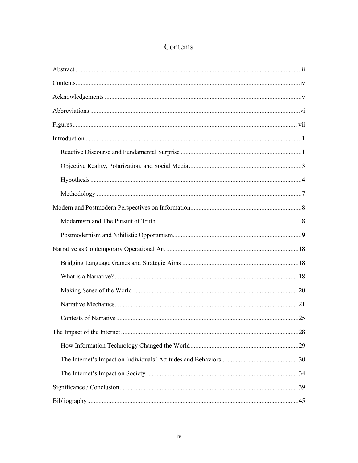## Contents

<span id="page-4-0"></span>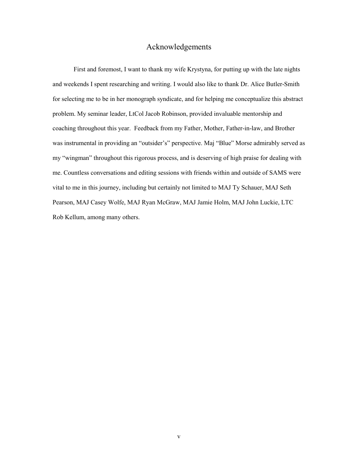#### Acknowledgements

<span id="page-5-0"></span>First and foremost, I want to thank my wife Krystyna, for putting up with the late nights and weekends I spent researching and writing. I would also like to thank Dr. Alice Butler-Smith for selecting me to be in her monograph syndicate, and for helping me conceptualize this abstract problem. My seminar leader, LtCol Jacob Robinson, provided invaluable mentorship and coaching throughout this year. Feedback from my Father, Mother, Father-in-law, and Brother was instrumental in providing an "outsider's" perspective. Maj "Blue" Morse admirably served as my "wingman" throughout this rigorous process, and is deserving of high praise for dealing with me. Countless conversations and editing sessions with friends within and outside of SAMS were vital to me in this journey, including but certainly not limited to MAJ Ty Schauer, MAJ Seth Pearson, MAJ Casey Wolfe, MAJ Ryan McGraw, MAJ Jamie Holm, MAJ John Luckie, LTC Rob Kellum, among many others.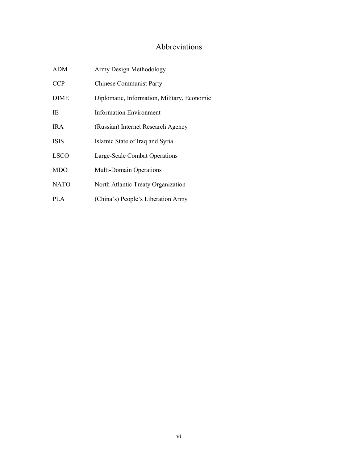## Abbreviations

<span id="page-6-0"></span>

| ADM         | Army Design Methodology                     |  |  |  |
|-------------|---------------------------------------------|--|--|--|
| <b>CCP</b>  | <b>Chinese Communist Party</b>              |  |  |  |
| <b>DIME</b> | Diplomatic, Information, Military, Economic |  |  |  |
| IE          | Information Environment                     |  |  |  |
| IR A        | (Russian) Internet Research Agency          |  |  |  |
| <b>ISIS</b> | Islamic State of Iraq and Syria             |  |  |  |
| <b>LSCO</b> | Large-Scale Combat Operations               |  |  |  |
| <b>MDO</b>  | Multi-Domain Operations                     |  |  |  |
| <b>NATO</b> | North Atlantic Treaty Organization          |  |  |  |
| PLA.        | (China's) People's Liberation Army          |  |  |  |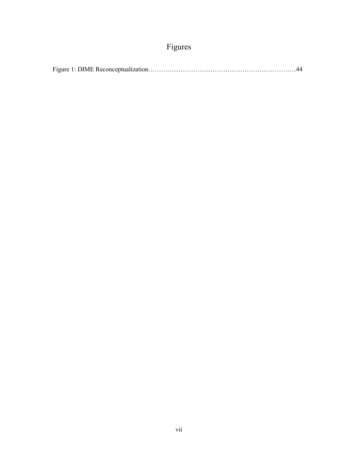# Figures

<span id="page-7-0"></span>

|--|--|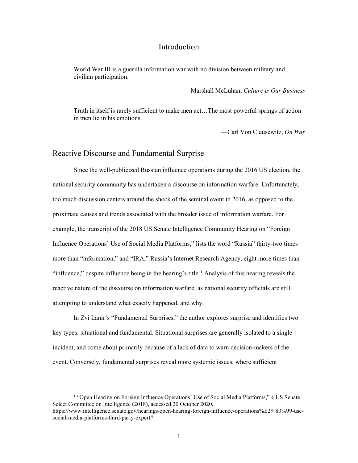#### Introduction

<span id="page-8-0"></span>World War III is a guerilla information war with no division between military and civilian participation.

—Marshall McLuhan, *Culture is Our Business*

Truth in itself is rarely sufficient to make men act…The most powerful springs of action in men lie in his emotions.

—Carl Von Clausewitz, *On War*

#### <span id="page-8-1"></span>Reactive Discourse and Fundamental Surprise

Since the well-publicized Russian influence operations during the 2016 US election, the national security community has undertaken a discourse on information warfare. Unfortunately, too much discussion centers around the shock of the seminal event in 2016, as opposed to the proximate causes and trends associated with the broader issue of information warfare. For example, the transcript of the 2018 US Senate Intelligence Community Hearing on "Foreign Influence Operations' Use of Social Media Platforms," lists the word "Russia" thirty-two times more than "information," and "IRA," Russia's Internet Research Agency, eight more times than "influence," despite influence being in the hearing's title.<sup>1</sup> Analysis of this hearing reveals the reactive nature of the discourse on information warfare, as national security officials are still attempting to understand what exactly happened, and why.

In Zvi Lanir's "Fundamental Surprises," the author explores surprise and identifies two key types: situational and fundamental. Situational surprises are generally isolated to a single incident, and come about primarily because of a lack of data to warn decision-makers of the event. Conversely, fundamental surprises reveal more systemic issues, where sufficient

<sup>&</sup>lt;sup>1</sup> "Open Hearing on Foreign Influence Operations' Use of Social Media Platforms," § US Senate Select Committee on Intelligence (2018), accessed 20 October 2020, https://www.intelligence.senate.gov/hearings/open-hearing-foreign-influence-operations%E2%80%99-usesocial-media-platforms-third-party-expert#.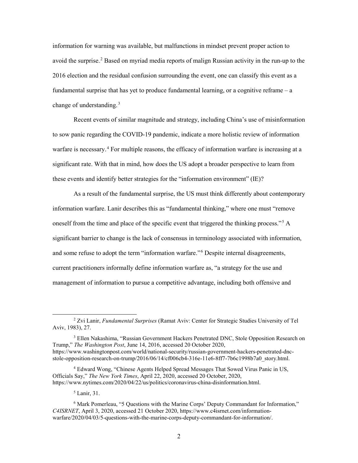information for warning was available, but malfunctions in mindset prevent proper action to avoid the surprise.<sup>2</sup> Based on myriad media reports of malign Russian activity in the run-up to the 2016 election and the residual confusion surrounding the event, one can classify this event as a fundamental surprise that has yet to produce fundamental learning, or a cognitive reframe  $-$  a change of understanding.<sup>3</sup>

Recent events of similar magnitude and strategy, including China's use of misinformation to sow panic regarding the COVID-19 pandemic, indicate a more holistic review of information warfare is necessary.<sup>4</sup> For multiple reasons, the efficacy of information warfare is increasing at a significant rate. With that in mind, how does the US adopt a broader perspective to learn from these events and identify better strategies for the "information environment" (IE)?

As a result of the fundamental surprise, the US must think differently about contemporary information warfare. Lanir describes this as "fundamental thinking," where one must "remove oneself from the time and place of the specific event that triggered the thinking process."<sup>5</sup> A significant barrier to change is the lack of consensus in terminology associated with information, and some refuse to adopt the term "information warfare."<sup>6</sup> Despite internal disagreements, current practitioners informally define information warfare as, "a strategy for the use and management of information to pursue a competitive advantage, including both offensive and

<sup>5</sup> Lanir, 31.

 <sup>2</sup> Zvi Lanir, *Fundamental Surprises* (Ramat Aviv: Center for Strategic Studies University of Tel Aviv, 1983), 27.

<sup>&</sup>lt;sup>3</sup> Ellen Nakashima, "Russian Government Hackers Penetrated DNC, Stole Opposition Research on Trump," *The Washington Post*, June 14, 2016, accessed 20 October 2020, https://www.washingtonpost.com/world/national-security/russian-government-hackers-penetrated-dncstole-opposition-research-on-trump/2016/06/14/cf006cb4-316e-11e6-8ff7-7b6c1998b7a0\_story.html.

<sup>4</sup> Edward Wong, "Chinese Agents Helped Spread Messages That Sowed Virus Panic in US, Officials Say," *The New York Times*, April 22, 2020, accessed 20 October, 2020, https://www.nytimes.com/2020/04/22/us/politics/coronavirus-china-disinformation.html.

<sup>6</sup> Mark Pomerleau, "5 Questions with the Marine Corps' Deputy Commandant for Information," *C4ISRNET*, April 3, 2020, accessed 21 October 2020, https://www.c4isrnet.com/informationwarfare/2020/04/03/5-questions-with-the-marine-corps-deputy-commandant-for-information/.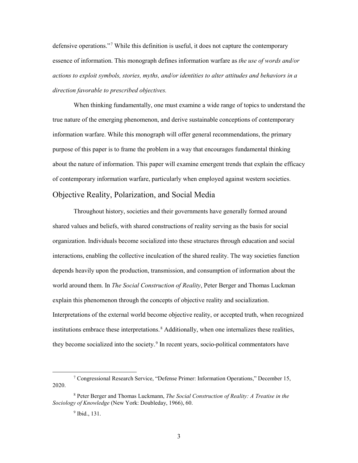defensive operations."<sup>7</sup> While this definition is useful, it does not capture the contemporary essence of information. This monograph defines information warfare as *the use of words and/or actions to exploit symbols, stories, myths, and/or identities to alter attitudes and behaviors in a direction favorable to prescribed objectives.*

When thinking fundamentally, one must examine a wide range of topics to understand the true nature of the emerging phenomenon, and derive sustainable conceptions of contemporary information warfare. While this monograph will offer general recommendations, the primary purpose of this paper is to frame the problem in a way that encourages fundamental thinking about the nature of information. This paper will examine emergent trends that explain the efficacy of contemporary information warfare, particularly when employed against western societies.

#### <span id="page-10-0"></span>Objective Reality, Polarization, and Social Media

Throughout history, societies and their governments have generally formed around shared values and beliefs, with shared constructions of reality serving as the basis for social organization. Individuals become socialized into these structures through education and social interactions, enabling the collective inculcation of the shared reality. The way societies function depends heavily upon the production, transmission, and consumption of information about the world around them. In *The Social Construction of Reality*, Peter Berger and Thomas Luckman explain this phenomenon through the concepts of objective reality and socialization. Interpretations of the external world become objective reality, or accepted truth, when recognized institutions embrace these interpretations.<sup>8</sup> Additionally, when one internalizes these realities, they become socialized into the society.<sup>9</sup> In recent years, socio-political commentators have

 <sup>7</sup> Congressional Research Service, "Defense Primer: Information Operations," December 15, 2020.

<sup>8</sup> Peter Berger and Thomas Luckmann, *The Social Construction of Reality: A Treatise in the Sociology of Knowledge* (New York: Doubleday, 1966), 60.

<sup>&</sup>lt;sup>9</sup> Ibid., 131.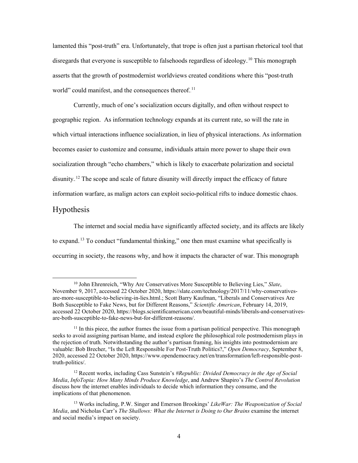lamented this "post-truth" era. Unfortunately, that trope is often just a partisan rhetorical tool that disregards that everyone is susceptible to falsehoods regardless of ideology.<sup>10</sup> This monograph asserts that the growth of postmodernist worldviews created conditions where this "post-truth world" could manifest, and the consequences thereof.<sup>11</sup>

Currently, much of one's socialization occurs digitally, and often without respect to geographic region. As information technology expands at its current rate, so will the rate in which virtual interactions influence socialization, in lieu of physical interactions. As information becomes easier to customize and consume, individuals attain more power to shape their own socialization through "echo chambers," which is likely to exacerbate polarization and societal disunity.<sup>12</sup> The scope and scale of future disunity will directly impact the efficacy of future information warfare, as malign actors can exploit socio-political rifts to induce domestic chaos.

#### <span id="page-11-0"></span>Hypothesis

The internet and social media have significantly affected society, and its affects are likely to expand.<sup>13</sup> To conduct "fundamental thinking," one then must examine what specifically is occurring in society, the reasons why, and how it impacts the character of war. This monograph

 <sup>10</sup> John Ehrenreich, "Why Are Conservatives More Susceptible to Believing Lies," *Slate*, November 9, 2017, accessed 22 October 2020, https://slate.com/technology/2017/11/why-conservativesare-more-susceptible-to-believing-in-lies.html.; Scott Barry Kaufman, "Liberals and Conservatives Are Both Susceptible to Fake News, but for Different Reasons," *Scientific American*, February 14, 2019, accessed 22 October 2020, https://blogs.scientificamerican.com/beautiful-minds/liberals-and-conservativesare-both-susceptible-to-fake-news-but-for-different-reasons/.

 $11$  In this piece, the author frames the issue from a partisan political perspective. This monograph seeks to avoid assigning partisan blame, and instead explore the philosophical role postmodernism plays in the rejection of truth. Notwithstanding the author's partisan framing, his insights into postmodernism are valuable: Bob Brecher, "Is the Left Responsible For Post-Truth Politics?," *Open Democracy*, September 8, 2020, accessed 22 October 2020, https://www.opendemocracy.net/en/transformation/left-responsible-posttruth-politics/.

<sup>12</sup> Recent works, including Cass Sunstein's *#Republic: Divided Democracy in the Age of Social Media*, *InfoTopia: How Many Minds Produce Knowledge*, and Andrew Shapiro's *The Control Revolution* discuss how the internet enables individuals to decide which information they consume, and the implications of that phenomenon.

<sup>13</sup> Works including, P.W. Singer and Emerson Brookings' *LikeWar: The Weaponization of Social Media*, and Nicholas Carr's *The Shallows: What the Internet is Doing to Our Brains* examine the internet and social media's impact on society.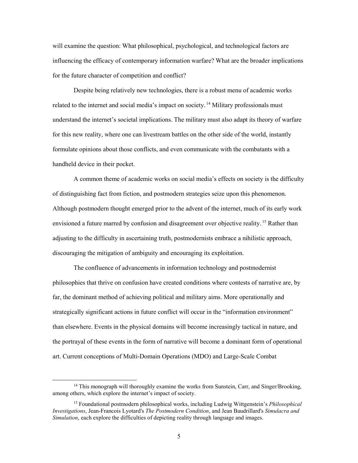will examine the question: What philosophical, psychological, and technological factors are influencing the efficacy of contemporary information warfare? What are the broader implications for the future character of competition and conflict?

Despite being relatively new technologies, there is a robust menu of academic works related to the internet and social media's impact on society.<sup>14</sup> Military professionals must understand the internet's societal implications. The military must also adapt its theory of warfare for this new reality, where one can livestream battles on the other side of the world, instantly formulate opinions about those conflicts, and even communicate with the combatants with a handheld device in their pocket.

A common theme of academic works on social media's effects on society is the difficulty of distinguishing fact from fiction, and postmodern strategies seize upon this phenomenon. Although postmodern thought emerged prior to the advent of the internet, much of its early work envisioned a future marred by confusion and disagreement over objective reality.<sup>15</sup> Rather than adjusting to the difficulty in ascertaining truth, postmodernists embrace a nihilistic approach, discouraging the mitigation of ambiguity and encouraging its exploitation.

The confluence of advancements in information technology and postmodernist philosophies that thrive on confusion have created conditions where contests of narrative are, by far, the dominant method of achieving political and military aims. More operationally and strategically significant actions in future conflict will occur in the "information environment" than elsewhere. Events in the physical domains will become increasingly tactical in nature, and the portrayal of these events in the form of narrative will become a dominant form of operational art. Current conceptions of Multi-Domain Operations (MDO) and Large-Scale Combat

 $14$  This monograph will thoroughly examine the works from Sunstein, Carr, and Singer/Brooking, among others, which explore the internet's impact of society.

<sup>15</sup> Foundational postmodern philosophical works, including Ludwig Wittgenstein's *Philosophical Investigations*, Jean-Francois Lyotard's *The Postmodern Condition*, and Jean Baudrillard's *Simulacra and Simulation*, each explore the difficulties of depicting reality through language and images.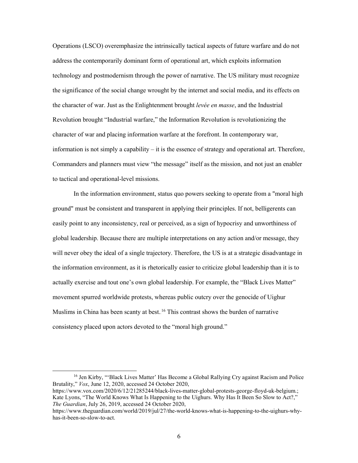Operations (LSCO) overemphasize the intrinsically tactical aspects of future warfare and do not address the contemporarily dominant form of operational art, which exploits information technology and postmodernism through the power of narrative. The US military must recognize the significance of the social change wrought by the internet and social media, and its effects on the character of war. Just as the Enlightenment brought *levée en masse*, and the Industrial Revolution brought "Industrial warfare," the Information Revolution is revolutionizing the character of war and placing information warfare at the forefront. In contemporary war, information is not simply a capability  $-$  it is the essence of strategy and operational art. Therefore, Commanders and planners must view "the message" itself as the mission, and not just an enabler to tactical and operational-level missions.

In the information environment, status quo powers seeking to operate from a "moral high ground" must be consistent and transparent in applying their principles. If not, belligerents can easily point to any inconsistency, real or perceived, as a sign of hypocrisy and unworthiness of global leadership. Because there are multiple interpretations on any action and/or message, they will never obey the ideal of a single trajectory. Therefore, the US is at a strategic disadvantage in the information environment, as it is rhetorically easier to criticize global leadership than it is to actually exercise and tout one's own global leadership. For example, the "Black Lives Matter" movement spurred worldwide protests, whereas public outcry over the genocide of Uighur Muslims in China has been scanty at best.<sup>16</sup> This contrast shows the burden of narrative consistency placed upon actors devoted to the "moral high ground."

<sup>&</sup>lt;sup>16</sup> Jen Kirby, "Black Lives Matter' Has Become a Global Rallying Cry against Racism and Police Brutality," *Vox*, June 12, 2020, accessed 24 October 2020,

https://www.vox.com/2020/6/12/21285244/black-lives-matter-global-protests-george-floyd-uk-belgium.; Kate Lyons, "The World Knows What Is Happening to the Uighurs. Why Has It Been So Slow to Act?," *The Guardian*, July 26, 2019, accessed 24 October 2020,

https://www.theguardian.com/world/2019/jul/27/the-world-knows-what-is-happening-to-the-uighurs-whyhas-it-been-so-slow-to-act.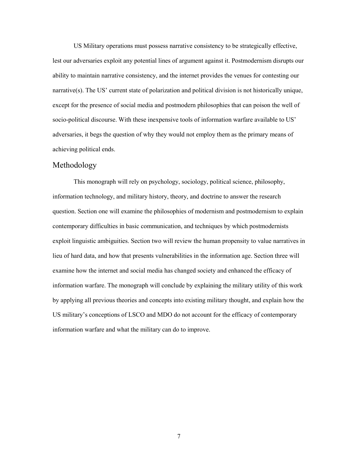US Military operations must possess narrative consistency to be strategically effective, lest our adversaries exploit any potential lines of argument against it. Postmodernism disrupts our ability to maintain narrative consistency, and the internet provides the venues for contesting our narrative(s). The US' current state of polarization and political division is not historically unique, except for the presence of social media and postmodern philosophies that can poison the well of socio-political discourse. With these inexpensive tools of information warfare available to US' adversaries, it begs the question of why they would not employ them as the primary means of achieving political ends.

#### <span id="page-14-0"></span>Methodology

This monograph will rely on psychology, sociology, political science, philosophy, information technology, and military history, theory, and doctrine to answer the research question. Section one will examine the philosophies of modernism and postmodernism to explain contemporary difficulties in basic communication, and techniques by which postmodernists exploit linguistic ambiguities. Section two will review the human propensity to value narratives in lieu of hard data, and how that presents vulnerabilities in the information age. Section three will examine how the internet and social media has changed society and enhanced the efficacy of information warfare. The monograph will conclude by explaining the military utility of this work by applying all previous theories and concepts into existing military thought, and explain how the US military's conceptions of LSCO and MDO do not account for the efficacy of contemporary information warfare and what the military can do to improve.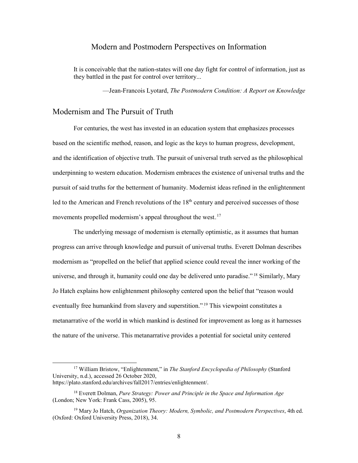#### Modern and Postmodern Perspectives on Information

<span id="page-15-0"></span>It is conceivable that the nation-states will one day fight for control of information, just as they battled in the past for control over territory...

—Jean-Francois Lyotard, *The Postmodern Condition: A Report on Knowledge*

#### <span id="page-15-1"></span>Modernism and The Pursuit of Truth

For centuries, the west has invested in an education system that emphasizes processes based on the scientific method, reason, and logic as the keys to human progress, development, and the identification of objective truth. The pursuit of universal truth served as the philosophical underpinning to western education. Modernism embraces the existence of universal truths and the pursuit of said truths for the betterment of humanity. Modernist ideas refined in the enlightenment led to the American and French revolutions of the 18<sup>th</sup> century and perceived successes of those movements propelled modernism's appeal throughout the west.<sup>17</sup>

The underlying message of modernism is eternally optimistic, as it assumes that human progress can arrive through knowledge and pursuit of universal truths. Everett Dolman describes modernism as "propelled on the belief that applied science could reveal the inner working of the universe, and through it, humanity could one day be delivered unto paradise."<sup>18</sup> Similarly, Mary Jo Hatch explains how enlightenment philosophy centered upon the belief that "reason would eventually free humankind from slavery and superstition."<sup>19</sup> This viewpoint constitutes a metanarrative of the world in which mankind is destined for improvement as long as it harnesses the nature of the universe. This metanarrative provides a potential for societal unity centered

 <sup>17</sup> William Bristow, "Enlightenment," in *The Stanford Encyclopedia of Philosophy* (Stanford University, n.d.), accessed 26 October 2020, https://plato.stanford.edu/archives/fall2017/entries/enlightenment/.

<sup>18</sup> Everett Dolman, *Pure Strategy: Power and Principle in the Space and Information Age* (London; New York: Frank Cass, 2005), 95.

<sup>19</sup> Mary Jo Hatch, *Organization Theory: Modern, Symbolic, and Postmodern Perspectives*, 4th ed. (Oxford: Oxford University Press, 2018), 34.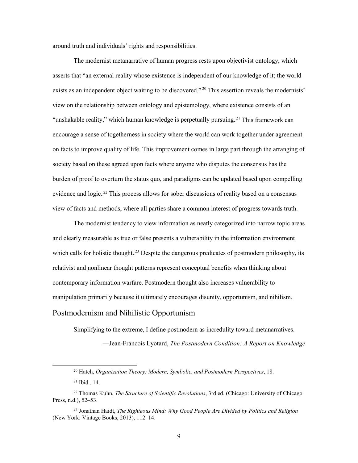around truth and individuals' rights and responsibilities.

The modernist metanarrative of human progress rests upon objectivist ontology, which asserts that "an external reality whose existence is independent of our knowledge of it; the world exists as an independent object waiting to be discovered."<sup>20</sup> This assertion reveals the modernists' view on the relationship between ontology and epistemology, where existence consists of an "unshakable reality," which human knowledge is perpetually pursuing.<sup>21</sup> This framework can encourage a sense of togetherness in society where the world can work together under agreement on facts to improve quality of life. This improvement comes in large part through the arranging of society based on these agreed upon facts where anyone who disputes the consensus has the burden of proof to overturn the status quo, and paradigms can be updated based upon compelling evidence and logic.<sup>22</sup> This process allows for sober discussions of reality based on a consensus view of facts and methods, where all parties share a common interest of progress towards truth.

The modernist tendency to view information as neatly categorized into narrow topic areas and clearly measurable as true or false presents a vulnerability in the information environment which calls for holistic thought.<sup>23</sup> Despite the dangerous predicates of postmodern philosophy, its relativist and nonlinear thought patterns represent conceptual benefits when thinking about contemporary information warfare. Postmodern thought also increases vulnerability to manipulation primarily because it ultimately encourages disunity, opportunism, and nihilism. Postmodernism and Nihilistic Opportunism

<span id="page-16-0"></span>Simplifying to the extreme, I define postmodern as incredulity toward metanarratives.

—Jean-Francois Lyotard, *The Postmodern Condition: A Report on Knowledge*

 <sup>20</sup> Hatch, *Organization Theory: Modern, Symbolic, and Postmodern Perspectives*, 18.

<sup>21</sup> Ibid., 14.

<sup>22</sup> Thomas Kuhn, *The Structure of Scientific Revolutions*, 3rd ed. (Chicago: University of Chicago Press, n.d.), 52–53.

<sup>23</sup> Jonathan Haidt, *The Righteous Mind: Why Good People Are Divided by Politics and Religion* (New York: Vintage Books, 2013), 112–14.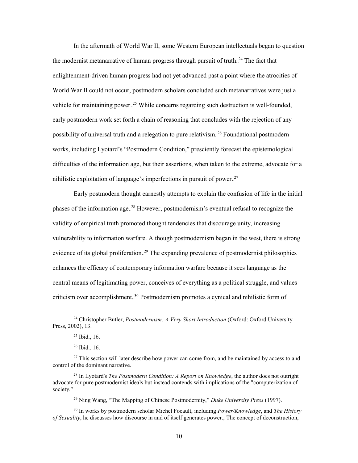In the aftermath of World War II, some Western European intellectuals began to question the modernist metanarrative of human progress through pursuit of truth.<sup>24</sup> The fact that enlightenment-driven human progress had not yet advanced past a point where the atrocities of World War II could not occur, postmodern scholars concluded such metanarratives were just a vehicle for maintaining power.<sup>25</sup> While concerns regarding such destruction is well-founded, early postmodern work set forth a chain of reasoning that concludes with the rejection of any possibility of universal truth and a relegation to pure relativism.<sup>26</sup> Foundational postmodern works, including Lyotard's "Postmodern Condition," presciently forecast the epistemological difficulties of the information age, but their assertions, when taken to the extreme, advocate for a nihilistic exploitation of language's imperfections in pursuit of power.<sup>27</sup>

Early postmodern thought earnestly attempts to explain the confusion of life in the initial phases of the information age.<sup>28</sup> However, postmodernism's eventual refusal to recognize the validity of empirical truth promoted thought tendencies that discourage unity, increasing vulnerability to information warfare. Although postmodernism began in the west, there is strong evidence of its global proliferation.<sup>29</sup> The expanding prevalence of postmodernist philosophies enhances the efficacy of contemporary information warfare because it sees language as the central means of legitimating power, conceives of everything as a political struggle, and values criticism over accomplishment.<sup>30</sup> Postmodernism promotes a cynical and nihilistic form of

<sup>29</sup> Ning Wang, "The Mapping of Chinese Postmodernity," *Duke University Press* (1997).

<sup>30</sup> In works by postmodern scholar Michel Focault, including *Power/Knowledge*, and *The History of Sexuality*, he discusses how discourse in and of itself generates power.; The concept of deconstruction,

 <sup>24</sup> Christopher Butler, *Postmodernism: A Very Short Introduction* (Oxford: Oxford University Press, 2002), 13.

 $25$  Ibid., 16.

<sup>26</sup> Ibid., 16.

 $27$  This section will later describe how power can come from, and be maintained by access to and control of the dominant narrative.

<sup>28</sup> In Lyotard's *The Postmodern Condition: A Report on Knowledge*, the author does not outright advocate for pure postmodernist ideals but instead contends with implications of the "computerization of society."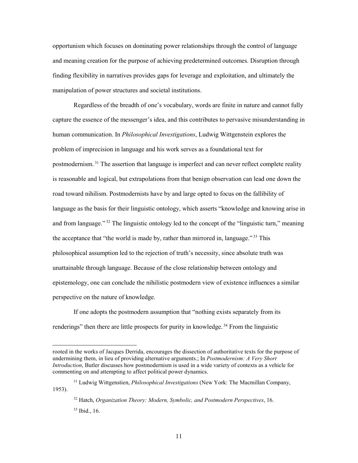opportunism which focuses on dominating power relationships through the control of language and meaning creation for the purpose of achieving predetermined outcomes. Disruption through finding flexibility in narratives provides gaps for leverage and exploitation, and ultimately the manipulation of power structures and societal institutions.

Regardless of the breadth of one's vocabulary, words are finite in nature and cannot fully capture the essence of the messenger's idea, and this contributes to pervasive misunderstanding in human communication. In *Philosophical Investigations*, Ludwig Wittgenstein explores the problem of imprecision in language and his work serves as a foundational text for postmodernism.<sup>31</sup> The assertion that language is imperfect and can never reflect complete reality is reasonable and logical, but extrapolations from that benign observation can lead one down the road toward nihilism. Postmodernists have by and large opted to focus on the fallibility of language as the basis for their linguistic ontology, which asserts "knowledge and knowing arise in and from language."<sup>32</sup> The linguistic ontology led to the concept of the "linguistic turn," meaning the acceptance that "the world is made by, rather than mirrored in, language."<sup>33</sup> This philosophical assumption led to the rejection of truth's necessity, since absolute truth was unattainable through language. Because of the close relationship between ontology and epistemology, one can conclude the nihilistic postmodern view of existence influences a similar perspective on the nature of knowledge.

If one adopts the postmodern assumption that "nothing exists separately from its renderings" then there are little prospects for purity in knowledge.<sup>34</sup> From the linguistic

 $\overline{a}$ 

rooted in the works of Jacques Derrida, encourages the dissection of authoritative texts for the purpose of undermining them, in lieu of providing alternative arguments.; In *Postmodernism: A Very Short Introduction*, Butler discusses how postmodernism is used in a wide variety of contexts as a vehicle for commenting on and attempting to affect political power dynamics.

<sup>31</sup> Ludwig Wittgenstien, *Philosophical Investigations* (New York: The Macmillan Company, 1953).

<sup>32</sup> Hatch, *Organization Theory: Modern, Symbolic, and Postmodern Perspectives*, 16. <sup>33</sup> Ibid., 16.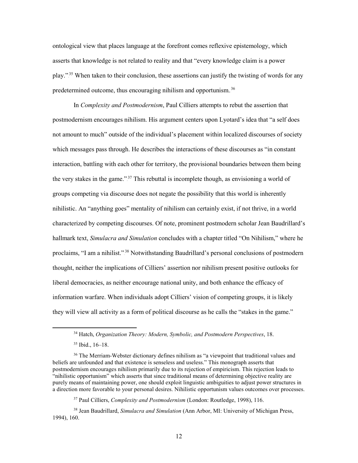ontological view that places language at the forefront comes reflexive epistemology, which asserts that knowledge is not related to reality and that "every knowledge claim is a power play."<sup>35</sup> When taken to their conclusion, these assertions can justify the twisting of words for any predetermined outcome, thus encouraging nihilism and opportunism.<sup>36</sup>

In *Complexity and Postmodernism*, Paul Cilliers attempts to rebut the assertion that postmodernism encourages nihilism. His argument centers upon Lyotard's idea that "a self does not amount to much" outside of the individual's placement within localized discourses of society which messages pass through. He describes the interactions of these discourses as "in constant interaction, battling with each other for territory, the provisional boundaries between them being the very stakes in the game."<sup>37</sup> This rebuttal is incomplete though, as envisioning a world of groups competing via discourse does not negate the possibility that this world is inherently nihilistic. An "anything goes" mentality of nihilism can certainly exist, if not thrive, in a world characterized by competing discourses. Of note, prominent postmodern scholar Jean Baudrillard's hallmark text, *Simulacra and Simulation* concludes with a chapter titled "On Nihilism," where he proclaims, "I am a nihilist."<sup>38</sup> Notwithstanding Baudrillard's personal conclusions of postmodern thought, neither the implications of Cilliers' assertion nor nihilism present positive outlooks for liberal democracies, as neither encourage national unity, and both enhance the efficacy of information warfare. When individuals adopt Cilliers' vision of competing groups, it is likely they will view all activity as a form of political discourse as he calls the "stakes in the game."

 <sup>34</sup> Hatch, *Organization Theory: Modern, Symbolic, and Postmodern Perspectives*, 18.

<sup>35</sup> Ibid., 16–18.

<sup>&</sup>lt;sup>36</sup> The Merriam-Webster dictionary defines nihilism as "a viewpoint that traditional values and beliefs are unfounded and that existence is senseless and useless." This monograph asserts that postmodernism encourages nihilism primarily due to its rejection of empiricism. This rejection leads to "nihilistic opportunism" which asserts that since traditional means of determining objective reality are purely means of maintaining power, one should exploit linguistic ambiguities to adjust power structures in a direction more favorable to your personal desires. Nihilistic opportunism values outcomes over processes.

<sup>37</sup> Paul Cilliers, *Complexity and Postmodernism* (London: Routledge, 1998), 116.

<sup>38</sup> Jean Baudrillard, *Simulacra and Simulation* (Ann Arbor, MI: University of Michigan Press, 1994), 160.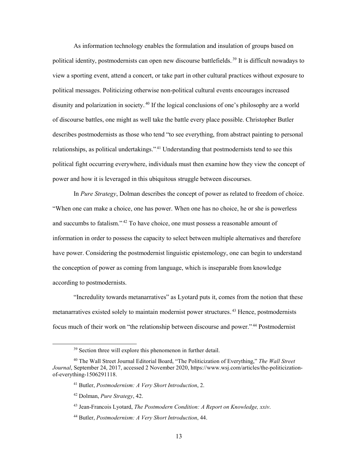As information technology enables the formulation and insulation of groups based on political identity, postmodernists can open new discourse battlefields.<sup>39</sup> It is difficult nowadays to view a sporting event, attend a concert, or take part in other cultural practices without exposure to political messages. Politicizing otherwise non-political cultural events encourages increased disunity and polarization in society.<sup>40</sup> If the logical conclusions of one's philosophy are a world of discourse battles, one might as well take the battle every place possible. Christopher Butler describes postmodernists as those who tend "to see everything, from abstract painting to personal relationships, as political undertakings."<sup>41</sup> Understanding that postmodernists tend to see this political fight occurring everywhere, individuals must then examine how they view the concept of power and how it is leveraged in this ubiquitous struggle between discourses.

In *Pure Strategy*, Dolman describes the concept of power as related to freedom of choice. "When one can make a choice, one has power. When one has no choice, he or she is powerless and succumbs to fatalism."<sup>42</sup> To have choice, one must possess a reasonable amount of information in order to possess the capacity to select between multiple alternatives and therefore have power. Considering the postmodernist linguistic epistemology, one can begin to understand the conception of power as coming from language, which is inseparable from knowledge according to postmodernists.

"Incredulity towards metanarratives" as Lyotard puts it, comes from the notion that these metanarratives existed solely to maintain modernist power structures.<sup>43</sup> Hence, postmodernists focus much of their work on "the relationship between discourse and power."<sup>44</sup> Postmodernist

<sup>&</sup>lt;sup>39</sup> Section three will explore this phenomenon in further detail.

<sup>40</sup> The Wall Street Journal Editorial Board, "The Politicization of Everything," *The Wall Street Journal*, September 24, 2017, accessed 2 November 2020, https://www.wsj.com/articles/the-politicizationof-everything-1506291118.

<sup>41</sup> Butler, *Postmodernism: A Very Short Introduction*, 2.

<sup>42</sup> Dolman, *Pure Strategy*, 42.

<sup>43</sup> Jean-Francois Lyotard, *The Postmodern Condition: A Report on Knowledge, xxiv*.

<sup>44</sup> Butler, *Postmodernism: A Very Short Introduction*, 44.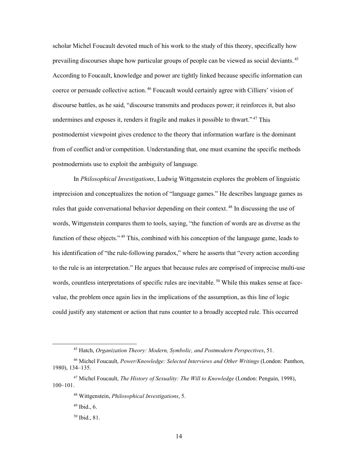scholar Michel Foucault devoted much of his work to the study of this theory, specifically how prevailing discourses shape how particular groups of people can be viewed as social deviants.<sup>45</sup> According to Foucault, knowledge and power are tightly linked because specific information can coerce or persuade collective action.<sup>46</sup> Foucault would certainly agree with Cilliers' vision of discourse battles, as he said, "discourse transmits and produces power; it reinforces it, but also undermines and exposes it, renders it fragile and makes it possible to thwart."<sup>47</sup> This postmodernist viewpoint gives credence to the theory that information warfare is the dominant from of conflict and/or competition. Understanding that, one must examine the specific methods postmodernists use to exploit the ambiguity of language.

In *Philosophical Investigations*, Ludwig Wittgenstein explores the problem of linguistic imprecision and conceptualizes the notion of "language games." He describes language games as rules that guide conversational behavior depending on their context.<sup>48</sup> In discussing the use of words, Wittgenstein compares them to tools, saying, "the function of words are as diverse as the function of these objects."<sup>49</sup> This, combined with his conception of the language game, leads to his identification of "the rule-following paradox," where he asserts that "every action according to the rule is an interpretation." He argues that because rules are comprised of imprecise multi-use words, countless interpretations of specific rules are inevitable.<sup>50</sup> While this makes sense at facevalue, the problem once again lies in the implications of the assumption, as this line of logic could justify any statement or action that runs counter to a broadly accepted rule. This occurred

 <sup>45</sup> Hatch, *Organization Theory: Modern, Symbolic, and Postmodern Perspectives*, 51.

<sup>46</sup> Michel Foucault, *Power/Knowledge: Selected Interviews and Other Writings* (London: Panthon, 1980), 134–135.

<sup>47</sup> Michel Foucault, *The History of Sexuality: The Will to Knowledge* (London: Penguin, 1998), 100–101.

<sup>48</sup> Wittgenstein, *Philosophical Investigations*, 5.

 $49$  Ibid., 6.

<sup>50</sup> Ibid., 81.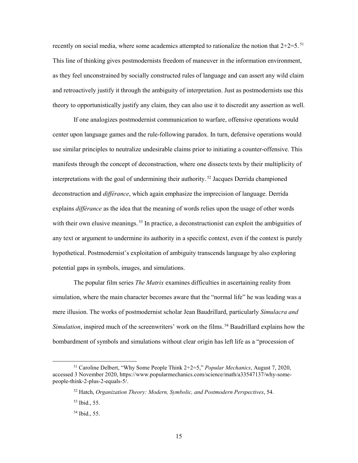recently on social media, where some academics attempted to rationalize the notion that  $2+2=5$ .<sup>51</sup> This line of thinking gives postmodernists freedom of maneuver in the information environment, as they feel unconstrained by socially constructed rules of language and can assert any wild claim and retroactively justify it through the ambiguity of interpretation. Just as postmodernists use this theory to opportunistically justify any claim, they can also use it to discredit any assertion as well.

If one analogizes postmodernist communication to warfare, offensive operations would center upon language games and the rule-following paradox. In turn, defensive operations would use similar principles to neutralize undesirable claims prior to initiating a counter-offensive. This manifests through the concept of deconstruction, where one dissects texts by their multiplicity of interpretations with the goal of undermining their authority.<sup>52</sup> Jacques Derrida championed deconstruction and *différance*, which again emphasize the imprecision of language. Derrida explains *différance* as the idea that the meaning of words relies upon the usage of other words with their own elusive meanings.<sup>53</sup> In practice, a deconstructionist can exploit the ambiguities of any text or argument to undermine its authority in a specific context, even if the context is purely hypothetical. Postmodernist's exploitation of ambiguity transcends language by also exploring potential gaps in symbols, images, and simulations.

The popular film series *The Matrix* examines difficulties in ascertaining reality from simulation, where the main character becomes aware that the "normal life" he was leading was a mere illusion. The works of postmodernist scholar Jean Baudrillard, particularly *Simulacra and*  Simulation, inspired much of the screenwriters' work on the films.<sup>54</sup> Baudrillard explains how the bombardment of symbols and simulations without clear origin has left life as a "procession of

 <sup>51</sup> Caroline Delbert, "Why Some People Think 2+2=5," *Popular Mechanics*, August 7, 2020, accessed 3 November 2020, https://www.popularmechanics.com/science/math/a33547137/why-somepeople-think-2-plus-2-equals-5/.

<sup>52</sup> Hatch, *Organization Theory: Modern, Symbolic, and Postmodern Perspectives*, 54.

<sup>53</sup> Ibid., 55.

<sup>54</sup> Ibid., 55.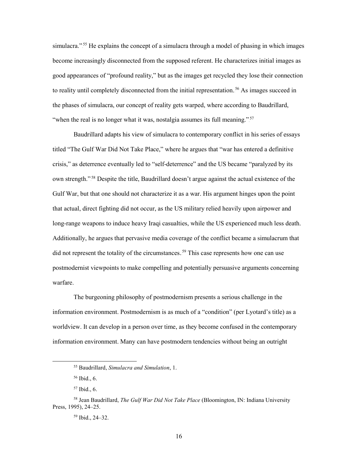simulacra."<sup>55</sup> He explains the concept of a simulacra through a model of phasing in which images become increasingly disconnected from the supposed referent. He characterizes initial images as good appearances of "profound reality," but as the images get recycled they lose their connection to reality until completely disconnected from the initial representation.<sup>56</sup> As images succeed in the phases of simulacra, our concept of reality gets warped, where according to Baudrillard, "when the real is no longer what it was, nostalgia assumes its full meaning." $57$ 

Baudrillard adapts his view of simulacra to contemporary conflict in his series of essays titled "The Gulf War Did Not Take Place," where he argues that "war has entered a definitive crisis," as deterrence eventually led to "self-deterrence" and the US became "paralyzed by its own strength."<sup>58</sup> Despite the title, Baudrillard doesn't argue against the actual existence of the Gulf War, but that one should not characterize it as a war. His argument hinges upon the point that actual, direct fighting did not occur, as the US military relied heavily upon airpower and long-range weapons to induce heavy Iraqi casualties, while the US experienced much less death. Additionally, he argues that pervasive media coverage of the conflict became a simulacrum that did not represent the totality of the circumstances.<sup>59</sup> This case represents how one can use postmodernist viewpoints to make compelling and potentially persuasive arguments concerning warfare.

The burgeoning philosophy of postmodernism presents a serious challenge in the information environment. Postmodernism is as much of a "condition" (per Lyotard's title) as a worldview. It can develop in a person over time, as they become confused in the contemporary information environment. Many can have postmodern tendencies without being an outright

 <sup>55</sup> Baudrillard, *Simulacra and Simulation*, 1.

<sup>56</sup> Ibid., 6.

<sup>57</sup> Ibid., 6.

<sup>58</sup> Jean Baudrillard, *The Gulf War Did Not Take Place* (Bloomington, IN: Indiana University Press, 1995), 24–25.

<sup>59</sup> Ibid., 24–32.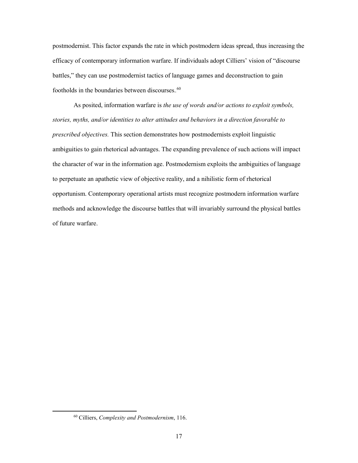postmodernist. This factor expands the rate in which postmodern ideas spread, thus increasing the efficacy of contemporary information warfare. If individuals adopt Cilliers' vision of "discourse battles," they can use postmodernist tactics of language games and deconstruction to gain footholds in the boundaries between discourses.<sup>60</sup>

As posited, information warfare is *the use of words and/or actions to exploit symbols, stories, myths, and/or identities to alter attitudes and behaviors in a direction favorable to prescribed objectives.* This section demonstrates how postmodernists exploit linguistic ambiguities to gain rhetorical advantages. The expanding prevalence of such actions will impact the character of war in the information age. Postmodernism exploits the ambiguities of language to perpetuate an apathetic view of objective reality, and a nihilistic form of rhetorical opportunism. Contemporary operational artists must recognize postmodern information warfare methods and acknowledge the discourse battles that will invariably surround the physical battles of future warfare.

<span id="page-24-0"></span> <sup>60</sup> Cilliers, *Complexity and Postmodernism*, 116.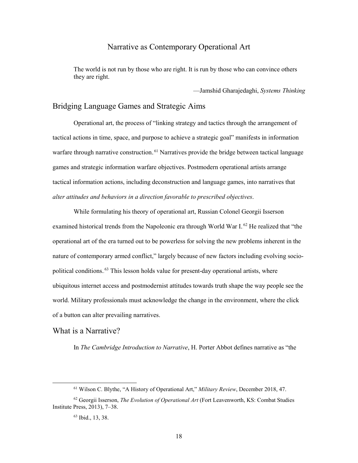### Narrative as Contemporary Operational Art

The world is not run by those who are right. It is run by those who can convince others they are right.

—Jamshid Gharajedaghi, *Systems Thinking*

#### <span id="page-25-0"></span>Bridging Language Games and Strategic Aims

Operational art, the process of "linking strategy and tactics through the arrangement of tactical actions in time, space, and purpose to achieve a strategic goal" manifests in information warfare through narrative construction.<sup>61</sup> Narratives provide the bridge between tactical language games and strategic information warfare objectives. Postmodern operational artists arrange tactical information actions, including deconstruction and language games, into narratives that *alter attitudes and behaviors in a direction favorable to prescribed objectives*.

While formulating his theory of operational art, Russian Colonel Georgii Isserson examined historical trends from the Napoleonic era through World War I.<sup>62</sup> He realized that "the operational art of the era turned out to be powerless for solving the new problems inherent in the nature of contemporary armed conflict," largely because of new factors including evolving sociopolitical conditions.<sup>63</sup> This lesson holds value for present-day operational artists, where ubiquitous internet access and postmodernist attitudes towards truth shape the way people see the world. Military professionals must acknowledge the change in the environment, where the click of a button can alter prevailing narratives.

<span id="page-25-1"></span>What is a Narrative?

In *The Cambridge Introduction to Narrative*, H. Porter Abbot defines narrative as "the

 <sup>61</sup> Wilson C. Blythe, "A History of Operational Art," *Military Review*, December 2018, 47.

<sup>62</sup> Georgii Isserson, *The Evolution of Operational Art* (Fort Leavenworth, KS: Combat Studies Institute Press, 2013), 7–38.

<sup>63</sup> Ibid., 13, 38.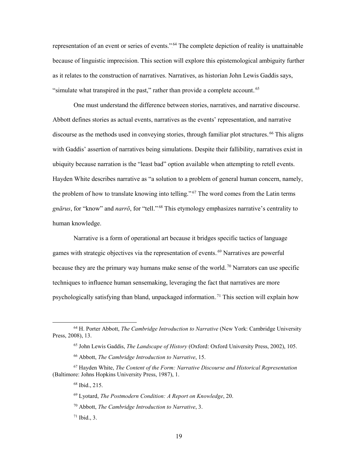representation of an event or series of events.".<sup>64</sup> The complete depiction of reality is unattainable because of linguistic imprecision. This section will explore this epistemological ambiguity further as it relates to the construction of narratives. Narratives, as historian John Lewis Gaddis says, "simulate what transpired in the past," rather than provide a complete account.<sup>65</sup>

One must understand the difference between stories, narratives, and narrative discourse. Abbott defines stories as actual events, narratives as the events' representation, and narrative discourse as the methods used in conveying stories, through familiar plot structures.<sup>66</sup> This aligns with Gaddis' assertion of narratives being simulations. Despite their fallibility, narratives exist in ubiquity because narration is the "least bad" option available when attempting to retell events. Hayden White describes narrative as "a solution to a problem of general human concern, namely, the problem of how to translate knowing into telling." $67$  The word comes from the Latin terms gn*ārus*, for "know" and *narrō*, for "tell."<sup>68</sup> This etymology emphasizes narrative's centrality to human knowledge.

Narrative is a form of operational art because it bridges specific tactics of language games with strategic objectives via the representation of events.<sup>69</sup> Narratives are powerful because they are the primary way humans make sense of the world.<sup>70</sup> Narrators can use specific techniques to influence human sensemaking, leveraging the fact that narratives are more psychologically satisfying than bland, unpackaged information.<sup>71</sup> This section will explain how

 <sup>64</sup> H. Porter Abbott, *The Cambridge Introduction to Narrative* (New York: Cambridge University Press, 2008), 13.

<sup>65</sup> John Lewis Gaddis, *The Landscape of History* (Oxford: Oxford University Press, 2002), 105.

<sup>66</sup> Abbott, *The Cambridge Introduction to Narrative*, 15.

<sup>67</sup> Hayden White, *The Content of the Form: Narrative Discourse and Historical Representation* (Baltimore: Johns Hopkins University Press, 1987), 1.

<sup>68</sup> Ibid., 215.

<sup>69</sup> Lyotard, *The Postmodern Condition: A Report on Knowledge*, 20.

<sup>70</sup> Abbott, *The Cambridge Introduction to Narrative*, 3.

 $71$  Ibid., 3.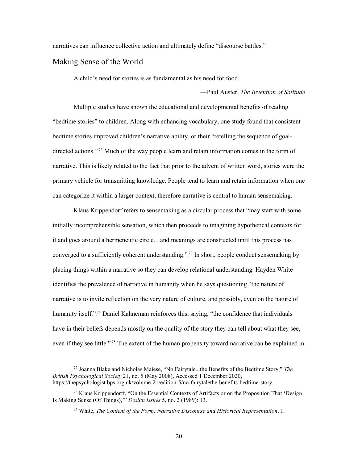narratives can influence collective action and ultimately define "discourse battles."

#### <span id="page-27-0"></span>Making Sense of the World

A child's need for stories is as fundamental as his need for food.

—Paul Auster, *The Invention of Solitude*

Multiple studies have shown the educational and developmental benefits of reading "bedtime stories" to children. Along with enhancing vocabulary, one study found that consistent bedtime stories improved children's narrative ability, or their "retelling the sequence of goaldirected actions."<sup>72</sup> Much of the way people learn and retain information comes in the form of narrative. This is likely related to the fact that prior to the advent of written word, stories were the primary vehicle for transmitting knowledge. People tend to learn and retain information when one can categorize it within a larger context, therefore narrative is central to human sensemaking.

Klaus Krippendorf refers to sensemaking as a circular process that "may start with some initially incomprehensible sensation, which then proceeds to imagining hypothetical contexts for it and goes around a hermeneutic circle…and meanings are constructed until this process has converged to a sufficiently coherent understanding."<sup>73</sup> In short, people conduct sensemaking by placing things within a narrative so they can develop relational understanding. Hayden White identifies the prevalence of narrative in humanity when he says questioning "the nature of narrative is to invite reflection on the very nature of culture, and possibly, even on the nature of humanity itself."<sup>74</sup> Daniel Kahneman reinforces this, saying, "the confidence that individuals have in their beliefs depends mostly on the quality of the story they can tell about what they see, even if they see little."<sup>75</sup> The extent of the human propensity toward narrative can be explained in

 <sup>72</sup> Joanna Blake and Nicholas Maiese, "No Fairytale...the Benefits of the Bedtime Story," *The British Psychological Society* 21, no. 5 (May 2008), Accessed 1 December 2020, https://thepsychologist.bps.org.uk/volume-21/edition-5/no-fairytalethe-benefits-bedtime-story.

 $73$  Klaus Krippendorff, "On the Essential Contexts of Artifacts or on the Proposition That 'Design Is Making Sense (Of Things),'" *Design Issues* 5, no. 2 (1989): 13.

<sup>74</sup> White, *The Content of the Form: Narrative Discourse and Historical Representation*, 1.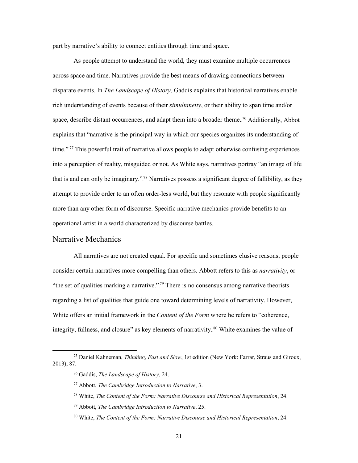part by narrative's ability to connect entities through time and space.

As people attempt to understand the world, they must examine multiple occurrences across space and time. Narratives provide the best means of drawing connections between disparate events. In *The Landscape of History*, Gaddis explains that historical narratives enable rich understanding of events because of their *simultaneity*, or their ability to span time and/or space, describe distant occurrences, and adapt them into a broader theme.<sup>76</sup> Additionally, Abbot explains that "narrative is the principal way in which our species organizes its understanding of time."<sup>77</sup> This powerful trait of narrative allows people to adapt otherwise confusing experiences into a perception of reality, misguided or not. As White says, narratives portray "an image of life that is and can only be imaginary."<sup>78</sup> Narratives possess a significant degree of fallibility, as they attempt to provide order to an often order-less world, but they resonate with people significantly more than any other form of discourse. Specific narrative mechanics provide benefits to an operational artist in a world characterized by discourse battles.

#### <span id="page-28-0"></span>Narrative Mechanics

All narratives are not created equal. For specific and sometimes elusive reasons, people consider certain narratives more compelling than others. Abbott refers to this as *narrativity*, or "the set of qualities marking a narrative."<sup>79</sup> There is no consensus among narrative theorists regarding a list of qualities that guide one toward determining levels of narrativity. However, White offers an initial framework in the *Content of the Form* where he refers to "coherence, integrity, fullness, and closure" as key elements of narrativity.<sup>80</sup> White examines the value of

 <sup>75</sup> Daniel Kahneman, *Thinking, Fast and Slow*, 1st edition (New York: Farrar, Straus and Giroux, 2013), 87.

<sup>76</sup> Gaddis, *The Landscape of History*, 24.

<sup>77</sup> Abbott, *The Cambridge Introduction to Narrative*, 3.

<sup>78</sup> White, *The Content of the Form: Narrative Discourse and Historical Representation*, 24.

<sup>79</sup> Abbott, *The Cambridge Introduction to Narrative*, 25.

<sup>80</sup> White, *The Content of the Form: Narrative Discourse and Historical Representation*, 24.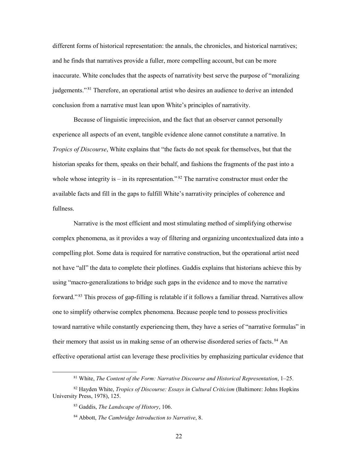different forms of historical representation: the annals, the chronicles, and historical narratives; and he finds that narratives provide a fuller, more compelling account, but can be more inaccurate. White concludes that the aspects of narrativity best serve the purpose of "moralizing judgements."<sup>81</sup> Therefore, an operational artist who desires an audience to derive an intended conclusion from a narrative must lean upon White's principles of narrativity.

Because of linguistic imprecision, and the fact that an observer cannot personally experience all aspects of an event, tangible evidence alone cannot constitute a narrative. In *Tropics of Discourse*, White explains that "the facts do not speak for themselves, but that the historian speaks for them, speaks on their behalf, and fashions the fragments of the past into a whole whose integrity is  $-$  in its representation."<sup>82</sup> The narrative constructor must order the available facts and fill in the gaps to fulfill White's narrativity principles of coherence and fullness.

Narrative is the most efficient and most stimulating method of simplifying otherwise complex phenomena, as it provides a way of filtering and organizing uncontextualized data into a compelling plot. Some data is required for narrative construction, but the operational artist need not have "all" the data to complete their plotlines. Gaddis explains that historians achieve this by using "macro-generalizations to bridge such gaps in the evidence and to move the narrative forward."<sup>83</sup> This process of gap-filling is relatable if it follows a familiar thread. Narratives allow one to simplify otherwise complex phenomena. Because people tend to possess proclivities toward narrative while constantly experiencing them, they have a series of "narrative formulas" in their memory that assist us in making sense of an otherwise disordered series of facts. <sup>84</sup> An effective operational artist can leverage these proclivities by emphasizing particular evidence that

 <sup>81</sup> White, *The Content of the Form: Narrative Discourse and Historical Representation*, 1–25.

<sup>82</sup> Hayden White, *Tropics of Discourse: Essays in Cultural Criticism* (Baltimore: Johns Hopkins University Press, 1978), 125.

<sup>83</sup> Gaddis, *The Landscape of History*, 106.

<sup>84</sup> Abbott, *The Cambridge Introduction to Narrative*, 8.

<sup>22</sup>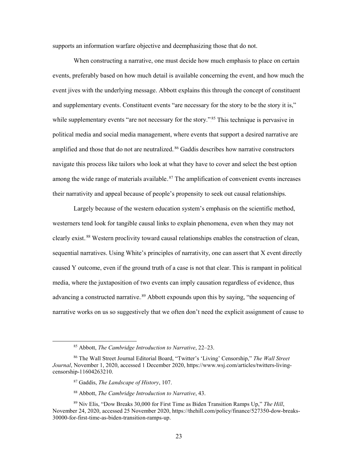supports an information warfare objective and deemphasizing those that do not.

When constructing a narrative, one must decide how much emphasis to place on certain events, preferably based on how much detail is available concerning the event, and how much the event jives with the underlying message. Abbott explains this through the concept of constituent and supplementary events. Constituent events "are necessary for the story to be the story it is," while supplementary events "are not necessary for the story."<sup>85</sup> This technique is pervasive in political media and social media management, where events that support a desired narrative are amplified and those that do not are neutralized.<sup>86</sup> Gaddis describes how narrative constructors navigate this process like tailors who look at what they have to cover and select the best option among the wide range of materials available.<sup>87</sup> The amplification of convenient events increases their narrativity and appeal because of people's propensity to seek out causal relationships.

Largely because of the western education system's emphasis on the scientific method, westerners tend look for tangible causal links to explain phenomena, even when they may not clearly exist.<sup>88</sup> Western proclivity toward causal relationships enables the construction of clean, sequential narratives. Using White's principles of narrativity, one can assert that X event directly caused Y outcome, even if the ground truth of a case is not that clear. This is rampant in political media, where the juxtaposition of two events can imply causation regardless of evidence, thus advancing a constructed narrative.<sup>89</sup> Abbott expounds upon this by saying, "the sequencing of narrative works on us so suggestively that we often don't need the explicit assignment of cause to

<sup>87</sup> Gaddis, *The Landscape of History*, 107.

 <sup>85</sup> Abbott, *The Cambridge Introduction to Narrative*, 22–23.

<sup>86</sup> The Wall Street Journal Editorial Board, "Twitter's 'Living' Censorship," *The Wall Street Journal*, November 1, 2020, accessed 1 December 2020, https://www.wsj.com/articles/twitters-livingcensorship-11604263210.

<sup>88</sup> Abbott, *The Cambridge Introduction to Narrative*, 43.

<sup>89</sup> Niv Elis, "Dow Breaks 30,000 for First Time as Biden Transition Ramps Up," *The Hill*, November 24, 2020, accessed 25 November 2020, https://thehill.com/policy/finance/527350-dow-breaks-30000-for-first-time-as-biden-transition-ramps-up.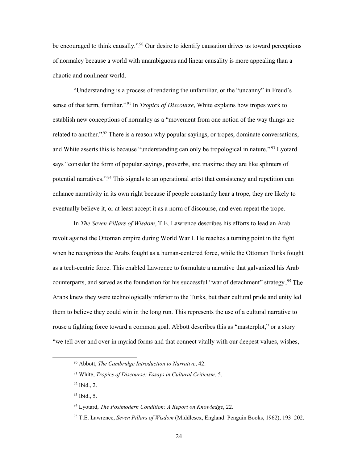be encouraged to think causally."<sup>90</sup> Our desire to identify causation drives us toward perceptions of normalcy because a world with unambiguous and linear causality is more appealing than a chaotic and nonlinear world.

"Understanding is a process of rendering the unfamiliar, or the "uncanny" in Freud's sense of that term, familiar."<sup>91</sup> In *Tropics of Discourse*, White explains how tropes work to establish new conceptions of normalcy as a "movement from one notion of the way things are related to another."<sup>92</sup> There is a reason why popular sayings, or tropes, dominate conversations, and White asserts this is because "understanding can only be tropological in nature."<sup>93</sup> Lyotard says "consider the form of popular sayings, proverbs, and maxims: they are like splinters of potential narratives."<sup>94</sup> This signals to an operational artist that consistency and repetition can enhance narrativity in its own right because if people constantly hear a trope, they are likely to eventually believe it, or at least accept it as a norm of discourse, and even repeat the trope.

In *The Seven Pillars of Wisdom*, T.E. Lawrence describes his efforts to lead an Arab revolt against the Ottoman empire during World War I. He reaches a turning point in the fight when he recognizes the Arabs fought as a human-centered force, while the Ottoman Turks fought as a tech-centric force. This enabled Lawrence to formulate a narrative that galvanized his Arab counterparts, and served as the foundation for his successful "war of detachment" strategy.<sup>95</sup> The Arabs knew they were technologically inferior to the Turks, but their cultural pride and unity led them to believe they could win in the long run. This represents the use of a cultural narrative to rouse a fighting force toward a common goal. Abbott describes this as "masterplot," or a story "we tell over and over in myriad forms and that connect vitally with our deepest values, wishes,

 <sup>90</sup> Abbott, *The Cambridge Introduction to Narrative*, 42.

<sup>91</sup> White, *Tropics of Discourse: Essays in Cultural Criticism*, 5.

<sup>92</sup> Ibid., 2.

<sup>93</sup> Ibid., 5.

<sup>94</sup> Lyotard, *The Postmodern Condition: A Report on Knowledge*, 22.

<sup>95</sup> T.E. Lawrence, *Seven Pillars of Wisdom* (Middlesex, England: Penguin Books, 1962), 193–202.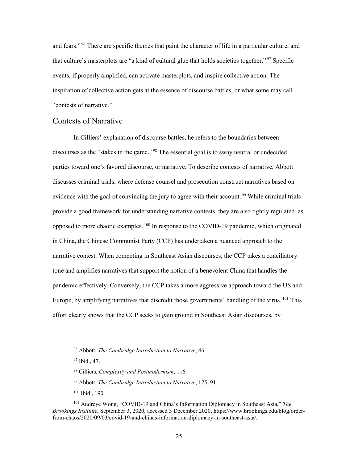and fears."<sup>96</sup> There are specific themes that paint the character of life in a particular culture, and that culture's masterplots are "a kind of cultural glue that holds societies together."<sup>97</sup> Specific events, if properly amplified, can activate masterplots, and inspire collective action. The inspiration of collective action gets at the essence of discourse battles, or what some may call "contests of narrative."

#### <span id="page-32-0"></span>Contests of Narrative

In Cilliers' explanation of discourse battles, he refers to the boundaries between discourses as the "stakes in the game."<sup>98</sup> The essential goal is to sway neutral or undecided parties toward one's favored discourse, or narrative. To describe contests of narrative, Abbott discusses criminal trials, where defense counsel and prosecution construct narratives based on evidence with the goal of convincing the jury to agree with their account.<sup>99</sup> While criminal trials provide a good framework for understanding narrative contests, they are also tightly regulated, as opposed to more chaotic examples.<sup>100</sup> In response to the COVID-19 pandemic, which originated in China, the Chinese Communist Party (CCP) has undertaken a nuanced approach to the narrative contest. When competing in Southeast Asian discourses, the CCP takes a conciliatory tone and amplifies narratives that support the notion of a benevolent China that handles the pandemic effectively. Conversely, the CCP takes a more aggressive approach toward the US and Europe, by amplifying narratives that discredit those governments' handling of the virus. <sup>101</sup> This effort clearly shows that the CCP seeks to gain ground in Southeast Asian discourses, by

<sup>100</sup> Ibid., 190.

 <sup>96</sup> Abbott, *The Cambridge Introduction to Narrative*, 46.

<sup>97</sup> Ibid., 47.

<sup>98</sup> Cilliers, *Complexity and Postmodernism*, 116.

<sup>99</sup> Abbott, *The Cambridge Introduction to Narrative*, 175–91.

<sup>101</sup> Audreye Wong, "COVID-19 and China's Information Diplomacy in Southeast Asia," *The Brookings Institute*, September 3, 2020, accessed 3 December 2020, https://www.brookings.edu/blog/orderfrom-chaos/2020/09/03/covid-19-and-chinas-information-diplomacy-in-southeast-asia/.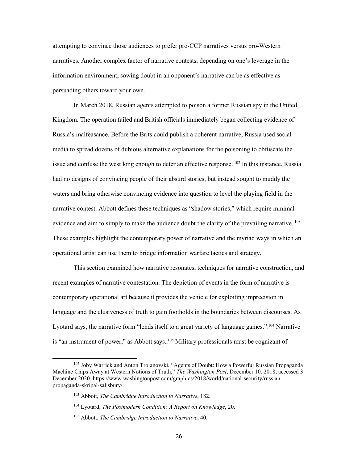attempting to convince those audiences to prefer pro-CCP narratives versus pro-Western narratives. Another complex factor of narrative contests, depending on one's leverage in the information environment, sowing doubt in an opponent's narrative can be as effective as persuading others toward your own.

In March 2018, Russian agents attempted to poison a former Russian spy in the United Kingdom. The operation failed and British officials immediately began collecting evidence of Russia's malfeasance. Before the Brits could publish a coherent narrative, Russia used social media to spread dozens of dubious alternative explanations for the poisoning to obfuscate the issue and confuse the west long enough to deter an effective response. <sup>102</sup> In this instance, Russia had no designs of convincing people of their absurd stories, but instead sought to muddy the waters and bring otherwise convincing evidence into question to level the playing field in the narrative contest. Abbott defines these techniques as "shadow stories," which require minimal evidence and aim to simply to make the audience doubt the clarity of the prevailing narrative. <sup>103</sup> These examples highlight the contemporary power of narrative and the myriad ways in which an operational artist can use them to bridge information warfare tactics and strategy.

This section examined how narrative resonates, techniques for narrative construction, and recent examples of narrative contestation. The depiction of events in the form of narrative is contemporary operational art because it provides the vehicle for exploiting imprecision in language and the elusiveness of truth to gain footholds in the boundaries between discourses. As Lyotard says, the narrative form "lends itself to a great variety of language games."<sup>104</sup> Narrative is "an instrument of power," as Abbott says.  $105$  Military professionals must be cognizant of

 <sup>102</sup> Joby Warrick and Anton Troianovski, "Agents of Doubt: How a Powerful Russian Propaganda Machine Chips Away at Western Notions of Truth," *The Washington Post*, December 10, 2018, accessed 3 December 2020, https://www.washingtonpost.com/graphics/2018/world/national-security/russianpropaganda-skripal-salisbury/.

<sup>103</sup> Abbott, *The Cambridge Introduction to Narrative*, 182.

<sup>104</sup> Lyotard, *The Postmodern Condition: A Report on Knowledge*, 20.

<sup>105</sup> Abbott, *The Cambridge Introduction to Narrative*, 40.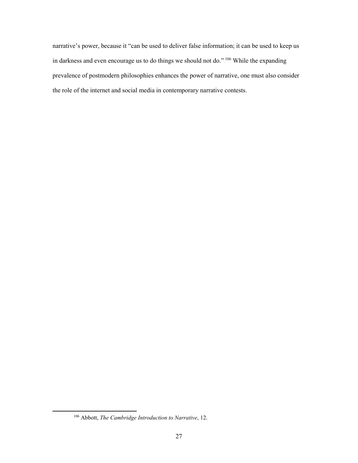narrative's power, because it "can be used to deliver false information; it can be used to keep us in darkness and even encourage us to do things we should not do.".<sup>106</sup> While the expanding prevalence of postmodern philosophies enhances the power of narrative, one must also consider the role of the internet and social media in contemporary narrative contests.

<span id="page-34-0"></span> <sup>106</sup> Abbott, *The Cambridge Introduction to Narrative*, 12.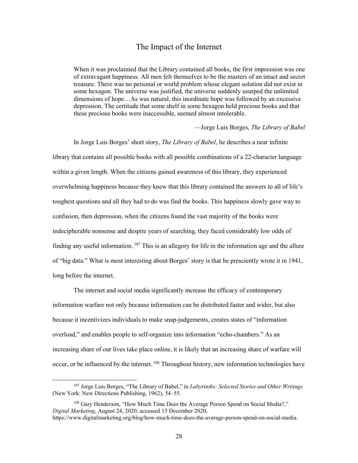#### The Impact of the Internet

When it was proclaimed that the Library contained all books, the first impression was one of extravagant happiness. All men felt themselves to be the masters of an intact and secret treasure. There was no personal or world problem whose elegant solution did not exist in some hexagon. The universe was justified, the universe suddenly usurped the unlimited dimensions of hope…As was natural, this inordinate hope was followed by an excessive depression. The certitude that some shelf in some hexagon held precious books and that these precious books were inaccessible, seemed almost intolerable.

—Jorge Luis Borges, *The Library of Babel*

In Jorge Luis Borges' short story, *The Library of Babel*, he describes a near infinite library that contains all possible books with all possible combinations of a 22-character language within a given length. When the citizens gained awareness of this library, they experienced overwhelming happiness because they knew that this library contained the answers to all of life's toughest questions and all they had to do was find the books. This happiness slowly gave way to confusion, then depression, when the citizens found the vast majority of the books were indecipherable nonsense and despite years of searching, they faced considerably low odds of finding any useful information.  $107$  This is an allegory for life in the information age and the allure of "big data." What is most interesting about Borges' story is that he presciently wrote it in 1941, long before the internet.

The internet and social media significantly increase the efficacy of contemporary information warfare not only because information can be distributed faster and wider, but also because it incentivizes individuals to make snap-judgements, creates states of "information overload," and enables people to self-organize into information "echo-chambers." As an increasing share of our lives take place online, it is likely that an increasing share of warfare will occur, or be influenced by the internet. <sup>108</sup> Throughout history, new information technologies have

 <sup>107</sup> Jorge Luis Borges, "The Library of Babel," in *Labyrinths: Selected Stories and Other Writings* (New York: New Directions Publishing, 1962), 54–55.

<sup>&</sup>lt;sup>108</sup> Gary Henderson, "How Much Time Does the Average Person Spend on Social Media?," *Digital Marketing*, August 24, 2020, accessed 15 December 2020, https://www.digitalmarketing.org/blog/how-much-time-does-the-average-person-spend-on-social-media.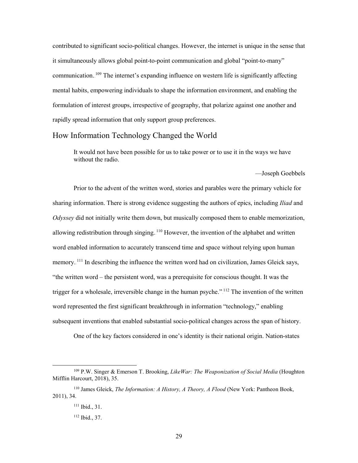contributed to significant socio-political changes. However, the internet is unique in the sense that it simultaneously allows global point-to-point communication and global "point-to-many" communication. <sup>109</sup> The internet's expanding influence on western life is significantly affecting mental habits, empowering individuals to shape the information environment, and enabling the formulation of interest groups, irrespective of geography, that polarize against one another and rapidly spread information that only support group preferences.

#### <span id="page-36-0"></span>How Information Technology Changed the World

It would not have been possible for us to take power or to use it in the ways we have without the radio.

—Joseph Goebbels

Prior to the advent of the written word, stories and parables were the primary vehicle for sharing information. There is strong evidence suggesting the authors of epics, including *Iliad* and *Odyssey* did not initially write them down, but musically composed them to enable memorization, allowing redistribution through singing. <sup>110</sup> However, the invention of the alphabet and written word enabled information to accurately transcend time and space without relying upon human memory.<sup>111</sup> In describing the influence the written word had on civilization, James Gleick says, "the written word – the persistent word, was a prerequisite for conscious thought. It was the trigger for a wholesale, irreversible change in the human psyche."<sup>112</sup> The invention of the written word represented the first significant breakthrough in information "technology," enabling subsequent inventions that enabled substantial socio-political changes across the span of history.

One of the key factors considered in one's identity is their national origin. Nation-states

 <sup>109</sup> P.W. Singer & Emerson T. Brooking, *LikeWar: The Weaponization of Social Media* (Houghton Mifflin Harcourt, 2018), 35.

<sup>110</sup> James Gleick, *The Information: A History, A Theory, A Flood* (New York: Pantheon Book, 2011), 34.

<sup>111</sup> Ibid., 31.

<sup>112</sup> Ibid., 37.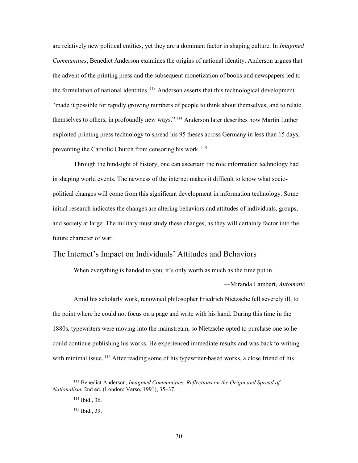are relatively new political entities, yet they are a dominant factor in shaping culture. In *Imagined Communities*, Benedict Anderson examines the origins of national identity. Anderson argues that the advent of the printing press and the subsequent monetization of books and newspapers led to the formulation of national identities. <sup>113</sup> Anderson asserts that this technological development "made it possible for rapidly growing numbers of people to think about themselves, and to relate themselves to others, in profoundly new ways."<sup>114</sup> Anderson later describes how Martin Luther exploited printing press technology to spread his 95 theses across Germany in less than 15 days, preventing the Catholic Church from censoring his work.<sup>115</sup>

Through the hindsight of history, one can ascertain the role information technology had in shaping world events. The newness of the internet makes it difficult to know what sociopolitical changes will come from this significant development in information technology. Some initial research indicates the changes are altering behaviors and attitudes of individuals, groups, and society at large. The military must study these changes, as they will certainly factor into the future character of war.

#### <span id="page-37-0"></span>The Internet's Impact on Individuals' Attitudes and Behaviors

When everything is handed to you, it's only worth as much as the time put in.

—Miranda Lambert, *Automatic*

Amid his scholarly work, renowned philosopher Friedrich Nietzsche fell severely ill, to the point where he could not focus on a page and write with his hand. During this time in the 1880s, typewriters were moving into the mainstream, so Nietzsche opted to purchase one so he could continue publishing his works. He experienced immediate results and was back to writing with minimal issue.<sup>116</sup> After reading some of his typewriter-based works, a close friend of his

 <sup>113</sup> Benedict Anderson, *Imagined Communities: Reflections on the Origin and Spread of Nationalism*, 2nd ed. (London: Verso, 1991), 35–37.

<sup>114</sup> Ibid., 36.

<sup>115</sup> Ibid., 39.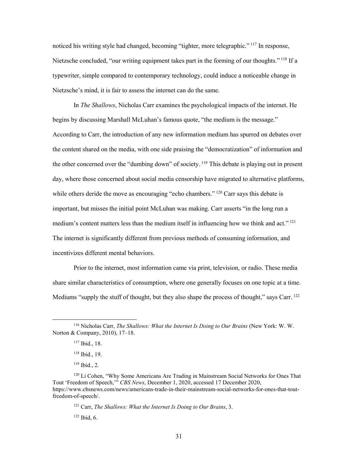noticed his writing style had changed, becoming "tighter, more telegraphic."<sup>117</sup> In response, Nietzsche concluded, "our writing equipment takes part in the forming of our thoughts."<sup>118</sup> If a typewriter, simple compared to contemporary technology, could induce a noticeable change in Nietzsche's mind, it is fair to assess the internet can do the same.

In *The Shallows*, Nicholas Carr examines the psychological impacts of the internet. He begins by discussing Marshall McLuhan's famous quote, "the medium is the message." According to Carr, the introduction of any new information medium has spurred on debates over the content shared on the media, with one side praising the "democratization" of information and the other concerned over the "dumbing down" of society.<sup>119</sup> This debate is playing out in present day, where those concerned about social media censorship have migrated to alternative platforms, while others deride the move as encouraging "echo chambers."<sup>120</sup> Carr says this debate is important, but misses the initial point McLuhan was making. Carr asserts "in the long run a medium's content matters less than the medium itself in influencing how we think and act.".<sup>121</sup> The internet is significantly different from previous methods of consuming information, and incentivizes different mental behaviors.

Prior to the internet, most information came via print, television, or radio. These media share similar characteristics of consumption, where one generally focuses on one topic at a time. Mediums "supply the stuff of thought, but they also shape the process of thought," says Carr.<sup>122</sup>

 $119$  Ibid., 2.

 <sup>116</sup> Nicholas Carr, *The Shallows: What the Internet Is Doing to Our Brains* (New York: W. W. Norton & Company, 2010), 17–18.

<sup>117</sup> Ibid., 18.

<sup>118</sup> Ibid., 19.

<sup>&</sup>lt;sup>120</sup> Li Cohen, "Why Some Americans Are Trading in Mainstream Social Networks for Ones That Tout 'Freedom of Speech,'" *CBS News*, December 1, 2020, accessed 17 December 2020, https://www.cbsnews.com/news/americans-trade-in-their-mainstream-social-networks-for-ones-that-toutfreedom-of-speech/.

<sup>121</sup> Carr, *The Shallows: What the Internet Is Doing to Our Brains*, 3. <sup>122</sup> Ibid, 6.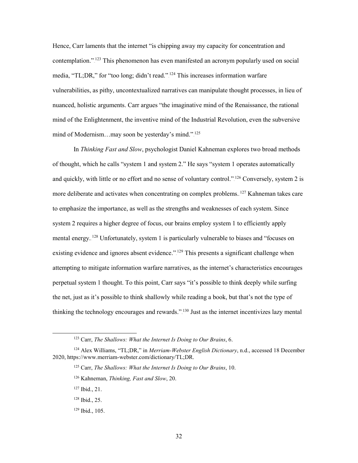Hence, Carr laments that the internet "is chipping away my capacity for concentration and contemplation."<sup>123</sup> This phenomenon has even manifested an acronym popularly used on social media, "TL;DR," for "too long; didn't read."<sup>124</sup> This increases information warfare vulnerabilities, as pithy, uncontextualized narratives can manipulate thought processes, in lieu of nuanced, holistic arguments. Carr argues "the imaginative mind of the Renaissance, the rational mind of the Enlightenment, the inventive mind of the Industrial Revolution, even the subversive mind of Modernism...may soon be yesterday's mind.".<sup>125</sup>

In *Thinking Fast and Slow*, psychologist Daniel Kahneman explores two broad methods of thought, which he calls "system 1 and system 2." He says "system 1 operates automatically and quickly, with little or no effort and no sense of voluntary control."  $^{126}$  Conversely, system 2 is more deliberate and activates when concentrating on complex problems.<sup>127</sup> Kahneman takes care to emphasize the importance, as well as the strengths and weaknesses of each system. Since system 2 requires a higher degree of focus, our brains employ system 1 to efficiently apply mental energy.<sup>128</sup> Unfortunately, system 1 is particularly vulnerable to biases and "focuses on existing evidence and ignores absent evidence."<sup>129</sup> This presents a significant challenge when attempting to mitigate information warfare narratives, as the internet's characteristics encourages perpetual system 1 thought. To this point, Carr says "it's possible to think deeply while surfing the net, just as it's possible to think shallowly while reading a book, but that's not the type of thinking the technology encourages and rewards."<sup>130</sup> Just as the internet incentivizes lazy mental

 <sup>123</sup> Carr, *The Shallows: What the Internet Is Doing to Our Brains*, 6.

<sup>124</sup> Alex Williams, "TL;DR," in *Merriam-Webster English Dictionary*, n.d., accessed 18 December 2020, https://www.merriam-webster.com/dictionary/TL;DR.

<sup>125</sup> Carr, *The Shallows: What the Internet Is Doing to Our Brains*, 10.

<sup>126</sup> Kahneman, *Thinking, Fast and Slow*, 20.

<sup>127</sup> Ibid., 21.

<sup>128</sup> Ibid., 25.

<sup>129</sup> Ibid., 105.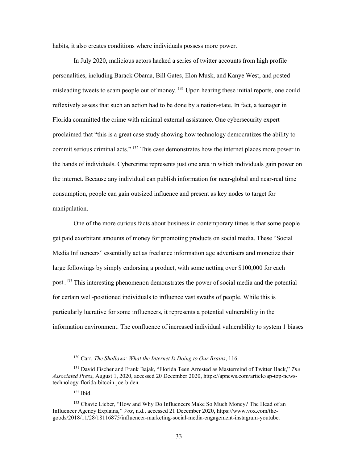habits, it also creates conditions where individuals possess more power.

In July 2020, malicious actors hacked a series of twitter accounts from high profile personalities, including Barack Obama, Bill Gates, Elon Musk, and Kanye West, and posted misleading tweets to scam people out of money. <sup>131</sup> Upon hearing these initial reports, one could reflexively assess that such an action had to be done by a nation-state. In fact, a teenager in Florida committed the crime with minimal external assistance. One cybersecurity expert proclaimed that "this is a great case study showing how technology democratizes the ability to commit serious criminal acts." <sup>132</sup> This case demonstrates how the internet places more power in the hands of individuals. Cybercrime represents just one area in which individuals gain power on the internet. Because any individual can publish information for near-global and near-real time consumption, people can gain outsized influence and present as key nodes to target for manipulation.

One of the more curious facts about business in contemporary times is that some people get paid exorbitant amounts of money for promoting products on social media. These "Social Media Influencers" essentially act as freelance information age advertisers and monetize their large followings by simply endorsing a product, with some netting over \$100,000 for each post.<sup>133</sup> This interesting phenomenon demonstrates the power of social media and the potential for certain well-positioned individuals to influence vast swaths of people. While this is particularly lucrative for some influencers, it represents a potential vulnerability in the information environment. The confluence of increased individual vulnerability to system 1 biases

<sup>132</sup> Ibid.

 <sup>130</sup> Carr, *The Shallows: What the Internet Is Doing to Our Brains*, 116.

<sup>131</sup> David Fischer and Frank Bajak, "Florida Teen Arrested as Mastermind of Twitter Hack," *The Associated Press*, August 1, 2020, accessed 20 December 2020, https://apnews.com/article/ap-top-newstechnology-florida-bitcoin-joe-biden.

<sup>&</sup>lt;sup>133</sup> Chavie Lieber, "How and Why Do Influencers Make So Much Money? The Head of an Influencer Agency Explains," *Vox*, n.d., accessed 21 December 2020, https://www.vox.com/thegoods/2018/11/28/18116875/influencer-marketing-social-media-engagement-instagram-youtube.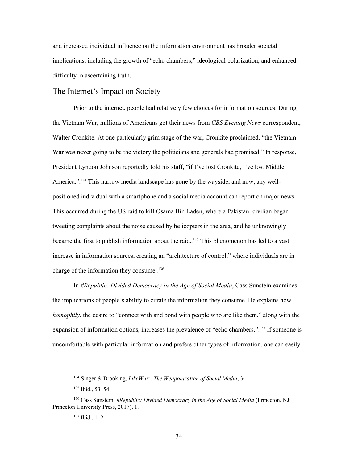and increased individual influence on the information environment has broader societal implications, including the growth of "echo chambers," ideological polarization, and enhanced difficulty in ascertaining truth.

#### <span id="page-41-0"></span>The Internet's Impact on Society

Prior to the internet, people had relatively few choices for information sources. During the Vietnam War, millions of Americans got their news from *CBS Evening News* correspondent, Walter Cronkite. At one particularly grim stage of the war, Cronkite proclaimed, "the Vietnam War was never going to be the victory the politicians and generals had promised." In response, President Lyndon Johnson reportedly told his staff, "if I've lost Cronkite, I've lost Middle America."<sup>134</sup> This narrow media landscape has gone by the wayside, and now, any wellpositioned individual with a smartphone and a social media account can report on major news. This occurred during the US raid to kill Osama Bin Laden, where a Pakistani civilian began tweeting complaints about the noise caused by helicopters in the area, and he unknowingly became the first to publish information about the raid.<sup>135</sup> This phenomenon has led to a vast increase in information sources, creating an "architecture of control," where individuals are in charge of the information they consume. $136$ 

In *#Republic: Divided Democracy in the Age of Social Media*, Cass Sunstein examines the implications of people's ability to curate the information they consume. He explains how *homophily*, the desire to "connect with and bond with people who are like them," along with the expansion of information options, increases the prevalence of "echo chambers."<sup>137</sup> If someone is uncomfortable with particular information and prefers other types of information, one can easily

 <sup>134</sup> Singer & Brooking, *LikeWar: The Weaponization of Social Media*, 34.

<sup>135</sup> Ibid., 53–54.

<sup>136</sup> Cass Sunstein, *#Republic: Divided Democracy in the Age of Social Media* (Princeton, NJ: Princeton University Press, 2017), 1.

<sup>137</sup> Ibid., 1–2.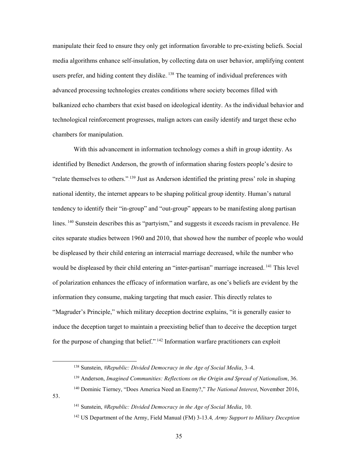manipulate their feed to ensure they only get information favorable to pre-existing beliefs. Social media algorithms enhance self-insulation, by collecting data on user behavior, amplifying content users prefer, and hiding content they dislike.  $138$  The teaming of individual preferences with advanced processing technologies creates conditions where society becomes filled with balkanized echo chambers that exist based on ideological identity. As the individual behavior and technological reinforcement progresses, malign actors can easily identify and target these echo chambers for manipulation.

With this advancement in information technology comes a shift in group identity. As identified by Benedict Anderson, the growth of information sharing fosters people's desire to "relate themselves to others." $139$  Just as Anderson identified the printing press' role in shaping national identity, the internet appears to be shaping political group identity. Human's natural tendency to identify their "in-group" and "out-group" appears to be manifesting along partisan lines.<sup>140</sup> Sunstein describes this as "partyism," and suggests it exceeds racism in prevalence. He cites separate studies between 1960 and 2010, that showed how the number of people who would be displeased by their child entering an interracial marriage decreased, while the number who would be displeased by their child entering an "inter-partisan" marriage increased.<sup>141</sup> This level of polarization enhances the efficacy of information warfare, as one's beliefs are evident by the information they consume, making targeting that much easier. This directly relates to "Magruder's Principle," which military deception doctrine explains, "it is generally easier to induce the deception target to maintain a preexisting belief than to deceive the deception target for the purpose of changing that belief." $142$  Information warfare practitioners can exploit

53.

 <sup>138</sup> Sunstein, *#Republic: Divided Democracy in the Age of Social Media*, 3–4.

<sup>139</sup> Anderson, *Imagined Communities: Reflections on the Origin and Spread of Nationalism*, 36.

<sup>140</sup> Dominic Tierney, "Does America Need an Enemy?," *The National Interest*, November 2016,

<sup>141</sup> Sunstein, *#Republic: Divided Democracy in the Age of Social Media*, 10.

<sup>142</sup> US Department of the Army, Field Manual (FM) 3-13.4*, Army Support to Military Deception*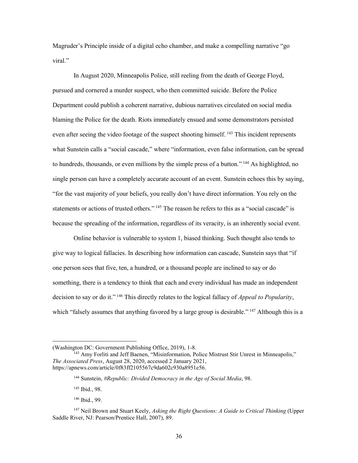Magruder's Principle inside of a digital echo chamber, and make a compelling narrative "go viral."

In August 2020, Minneapolis Police, still reeling from the death of George Floyd, pursued and cornered a murder suspect, who then committed suicide. Before the Police Department could publish a coherent narrative, dubious narratives circulated on social media blaming the Police for the death. Riots immediately ensued and some demonstrators persisted even after seeing the video footage of the suspect shooting himself.<sup>143</sup> This incident represents what Sunstein calls a "social cascade," where "information, even false information, can be spread to hundreds, thousands, or even millions by the simple press of a button."<sup>144</sup> As highlighted, no single person can have a completely accurate account of an event. Sunstein echoes this by saying, "for the vast majority of your beliefs, you really don't have direct information. You rely on the statements or actions of trusted others." <sup>145</sup> The reason he refers to this as a "social cascade" is because the spreading of the information, regardless of its veracity, is an inherently social event.

Online behavior is vulnerable to system 1, biased thinking. Such thought also tends to give way to logical fallacies. In describing how information can cascade, Sunstein says that "if one person sees that five, ten, a hundred, or a thousand people are inclined to say or do something, there is a tendency to think that each and every individual has made an independent decision to say or do it."<sup>146</sup> This directly relates to the logical fallacy of *Appeal to Popularity*, which "falsely assumes that anything favored by a large group is desirable.".<sup>147</sup> Although this is a

 $\overline{a}$ 

<sup>(</sup>Washington DC: Government Publishing Office, 2019), 1-8.

<sup>&</sup>lt;sup>143</sup> Amy Forliti and Jeff Baenen, "Misinformation, Police Mistrust Stir Unrest in Minneapolis," *The Associated Press*, August 28, 2020, accessed 2 January 2021, https://apnews.com/article/0f83ff2105567c9da602c930a8951e56.

<sup>144</sup> Sunstein, *#Republic: Divided Democracy in the Age of Social Media*, 98.

<sup>145</sup> Ibid., 98.

<sup>146</sup> Ibid., 99.

<sup>147</sup> Neil Brown and Stuart Keely, *Asking the Right Questions: A Guide to Critical Thinking* (Upper Saddle River, NJ: Pearson/Prentice Hall, 2007), 89.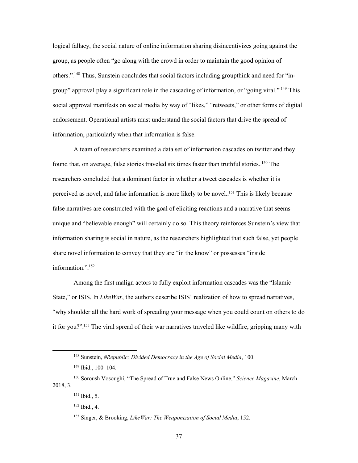logical fallacy, the social nature of online information sharing disincentivizes going against the group, as people often "go along with the crowd in order to maintain the good opinion of others."<sup>148</sup> Thus, Sunstein concludes that social factors including groupthink and need for "ingroup" approval play a significant role in the cascading of information, or "going viral."<sup>149</sup> This social approval manifests on social media by way of "likes," "retweets," or other forms of digital endorsement. Operational artists must understand the social factors that drive the spread of information, particularly when that information is false.

A team of researchers examined a data set of information cascades on twitter and they found that, on average, false stories traveled six times faster than truthful stories. <sup>150</sup> The researchers concluded that a dominant factor in whether a tweet cascades is whether it is perceived as novel, and false information is more likely to be novel.<sup>151</sup> This is likely because false narratives are constructed with the goal of eliciting reactions and a narrative that seems unique and "believable enough" will certainly do so. This theory reinforces Sunstein's view that information sharing is social in nature, as the researchers highlighted that such false, yet people share novel information to convey that they are "in the know" or possesses "inside information."<sup>152</sup>

Among the first malign actors to fully exploit information cascades was the "Islamic State," or ISIS. In *LikeWar*, the authors describe ISIS' realization of how to spread narratives, "why shoulder all the hard work of spreading your message when you could count on others to do it for you?".<sup>153</sup> The viral spread of their war narratives traveled like wildfire, gripping many with

 <sup>148</sup> Sunstein, *#Republic: Divided Democracy in the Age of Social Media*, 100.

<sup>149</sup> Ibid., 100–104.

<sup>150</sup> Soroush Vosoughi, "The Spread of True and False News Online," *Science Magazine*, March 2018, 3.

<sup>151</sup> Ibid., 5.

<sup>152</sup> Ibid., 4.

<sup>153</sup> Singer, & Brooking, *LikeWar: The Weaponization of Social Media*, 152.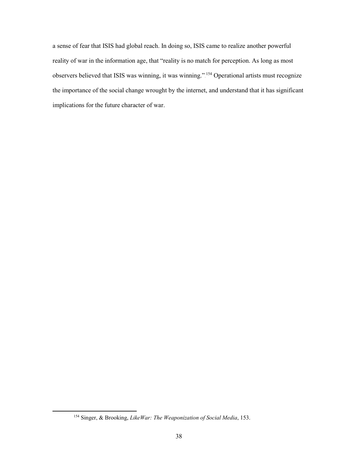a sense of fear that ISIS had global reach. In doing so, ISIS came to realize another powerful reality of war in the information age, that "reality is no match for perception. As long as most observers believed that ISIS was winning, it was winning."<sup>154</sup> Operational artists must recognize the importance of the social change wrought by the internet, and understand that it has significant implications for the future character of war.

 <sup>154</sup> Singer, & Brooking, *LikeWar: The Weaponization of Social Media*, 153.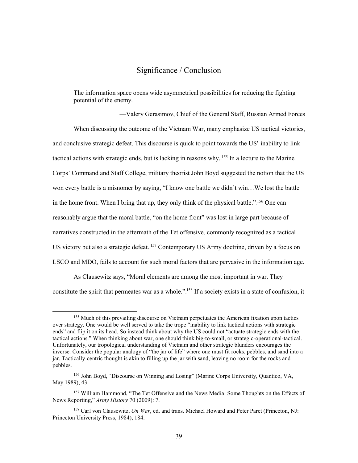#### Significance / Conclusion

<span id="page-46-0"></span>The information space opens wide asymmetrical possibilities for reducing the fighting potential of the enemy.

—Valery Gerasimov, Chief of the General Staff, Russian Armed Forces When discussing the outcome of the Vietnam War, many emphasize US tactical victories, and conclusive strategic defeat. This discourse is quick to point towards the US' inability to link tactical actions with strategic ends, but is lacking in reasons why.<sup>155</sup> In a lecture to the Marine Corps' Command and Staff College, military theorist John Boyd suggested the notion that the US won every battle is a misnomer by saying, "I know one battle we didn't win…We lost the battle in the home front. When I bring that up, they only think of the physical battle.".<sup>156</sup> One can reasonably argue that the moral battle, "on the home front" was lost in large part because of narratives constructed in the aftermath of the Tet offensive, commonly recognized as a tactical US victory but also a strategic defeat.<sup>157</sup> Contemporary US Army doctrine, driven by a focus on LSCO and MDO, fails to account for such moral factors that are pervasive in the information age.

As Clausewitz says, "Moral elements are among the most important in war. They constitute the spirit that permeates war as a whole." <sup>158</sup> If a society exists in a state of confusion, it

<sup>&</sup>lt;sup>155</sup> Much of this prevailing discourse on Vietnam perpetuates the American fixation upon tactics over strategy. One would be well served to take the trope "inability to link tactical actions with strategic ends" and flip it on its head. So instead think about why the US could not "actuate strategic ends with the tactical actions." When thinking about war, one should think big-to-small, or strategic-operational-tactical. Unfortunately, our tropological understanding of Vietnam and other strategic blunders encourages the inverse. Consider the popular analogy of "the jar of life" where one must fit rocks, pebbles, and sand into a jar. Tactically-centric thought is akin to filling up the jar with sand, leaving no room for the rocks and pebbles.

<sup>156</sup> John Boyd, "Discourse on Winning and Losing" (Marine Corps University, Quantico, VA, May 1989), 43.

<sup>&</sup>lt;sup>157</sup> William Hammond, "The Tet Offensive and the News Media: Some Thoughts on the Effects of News Reporting," *Army History* 70 (2009): 7.

<sup>158</sup> Carl von Clausewitz, *On War*, ed. and trans. Michael Howard and Peter Paret (Princeton, NJ: Princeton University Press, 1984), 184.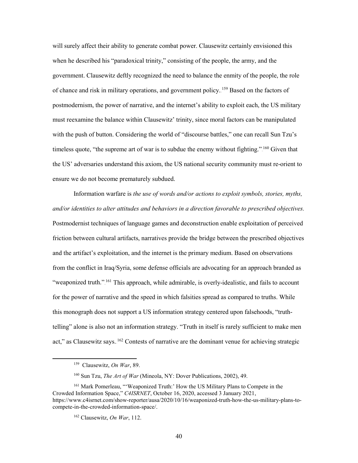will surely affect their ability to generate combat power. Clausewitz certainly envisioned this when he described his "paradoxical trinity," consisting of the people, the army, and the government. Clausewitz deftly recognized the need to balance the enmity of the people, the role of chance and risk in military operations, and government policy. <sup>159</sup> Based on the factors of postmodernism, the power of narrative, and the internet's ability to exploit each, the US military must reexamine the balance within Clausewitz' trinity, since moral factors can be manipulated with the push of button. Considering the world of "discourse battles," one can recall Sun Tzu's timeless quote, "the supreme art of war is to subdue the enemy without fighting."  $^{160}$  Given that the US' adversaries understand this axiom, the US national security community must re-orient to ensure we do not become prematurely subdued.

Information warfare is *the use of words and/or actions to exploit symbols, stories, myths, and/or identities to alter attitudes and behaviors in a direction favorable to prescribed objectives.* Postmodernist techniques of language games and deconstruction enable exploitation of perceived friction between cultural artifacts, narratives provide the bridge between the prescribed objectives and the artifact's exploitation, and the internet is the primary medium. Based on observations from the conflict in Iraq/Syria, some defense officials are advocating for an approach branded as "weaponized truth."<sup>161</sup> This approach, while admirable, is overly-idealistic, and fails to account for the power of narrative and the speed in which falsities spread as compared to truths. While this monograph does not support a US information strategy centered upon falsehoods, "truthtelling" alone is also not an information strategy. "Truth in itself is rarely sufficient to make men act," as Clausewitz says. <sup>162</sup> Contests of narrative are the dominant venue for achieving strategic

 <sup>159</sup> Clausewitz, *On War*, 89.

<sup>160</sup> Sun Tzu, *The Art of War* (Mineola, NY: Dover Publications, 2002), 49.

<sup>161</sup> Mark Pomerleau, "'Weaponized Truth:' How the US Military Plans to Compete in the Crowded Information Space," *C4ISRNET*, October 16, 2020, accessed 3 January 2021, https://www.c4isrnet.com/show-reporter/ausa/2020/10/16/weaponized-truth-how-the-us-military-plans-tocompete-in-the-crowded-information-space/.

<sup>162</sup> Clausewitz, *On War*, 112.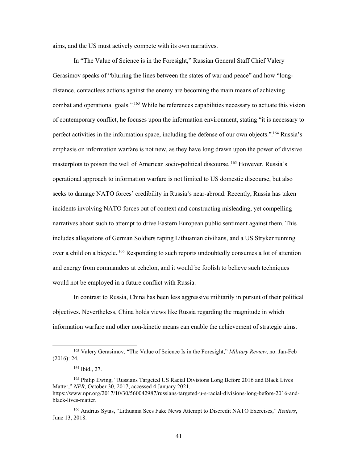aims, and the US must actively compete with its own narratives.

In "The Value of Science is in the Foresight," Russian General Staff Chief Valery Gerasimov speaks of "blurring the lines between the states of war and peace" and how "longdistance, contactless actions against the enemy are becoming the main means of achieving combat and operational goals."<sup>163</sup> While he references capabilities necessary to actuate this vision of contemporary conflict, he focuses upon the information environment, stating "it is necessary to perfect activities in the information space, including the defense of our own objects." <sup>164</sup> Russia's emphasis on information warfare is not new, as they have long drawn upon the power of divisive masterplots to poison the well of American socio-political discourse. <sup>165</sup> However, Russia's operational approach to information warfare is not limited to US domestic discourse, but also seeks to damage NATO forces' credibility in Russia's near-abroad. Recently, Russia has taken incidents involving NATO forces out of context and constructing misleading, yet compelling narratives about such to attempt to drive Eastern European public sentiment against them. This includes allegations of German Soldiers raping Lithuanian civilians, and a US Stryker running over a child on a bicycle.<sup>166</sup> Responding to such reports undoubtedly consumes a lot of attention and energy from commanders at echelon, and it would be foolish to believe such techniques would not be employed in a future conflict with Russia.

In contrast to Russia, China has been less aggressive militarily in pursuit of their political objectives. Nevertheless, China holds views like Russia regarding the magnitude in which information warfare and other non-kinetic means can enable the achievement of strategic aims.

 <sup>163</sup> Valery Gerasimov, "The Value of Science Is in the Foresight," *Military Review*, no. Jan-Feb (2016): 24.

<sup>164</sup> Ibid., 27.

<sup>&</sup>lt;sup>165</sup> Philip Ewing, "Russians Targeted US Racial Divisions Long Before 2016 and Black Lives Matter," *NPR*, October 30, 2017, accessed 4 January 2021, https://www.npr.org/2017/10/30/560042987/russians-targeted-u-s-racial-divisions-long-before-2016-and-

black-lives-matter.

<sup>166</sup> Andrius Sytas, "Lithuania Sees Fake News Attempt to Discredit NATO Exercises," *Reuters*, June 13, 2018.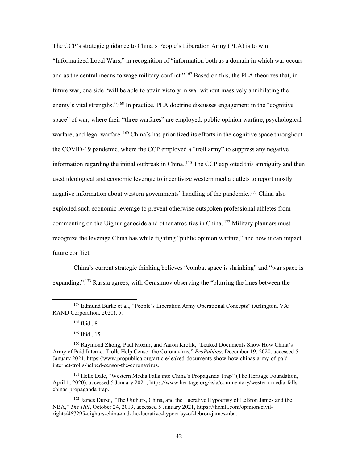The CCP's strategic guidance to China's People's Liberation Army (PLA) is to win "Informatized Local Wars," in recognition of "information both as a domain in which war occurs and as the central means to wage military conflict."  $^{167}$  Based on this, the PLA theorizes that, in future war, one side "will be able to attain victory in war without massively annihilating the enemy's vital strengths."<sup>168</sup> In practice, PLA doctrine discusses engagement in the "cognitive space" of war, where their "three warfares" are employed: public opinion warfare, psychological warfare, and legal warfare.<sup>169</sup> China's has prioritized its efforts in the cognitive space throughout the COVID-19 pandemic, where the CCP employed a "troll army" to suppress any negative information regarding the initial outbreak in China.  $170$  The CCP exploited this ambiguity and then used ideological and economic leverage to incentivize western media outlets to report mostly negative information about western governments' handling of the pandemic. <sup>171</sup> China also exploited such economic leverage to prevent otherwise outspoken professional athletes from commenting on the Uighur genocide and other atrocities in China.<sup>172</sup> Military planners must recognize the leverage China has while fighting "public opinion warfare," and how it can impact future conflict.

China's current strategic thinking believes "combat space is shrinking" and "war space is expanding."<sup>173</sup> Russia agrees, with Gerasimov observing the "blurring the lines between the

<sup>168</sup> Ibid., 8.

<sup>169</sup> Ibid., 15.

 <sup>167</sup> Edmund Burke et al., "People's Liberation Army Operational Concepts" (Arlington, VA: RAND Corporation, 2020), 5.

<sup>170</sup> Raymond Zhong, Paul Mozur, and Aaron Krolik, "Leaked Documents Show How China's Army of Paid Internet Trolls Help Censor the Coronavirus," *ProPublica*, December 19, 2020, accessed 5 January 2021, https://www.propublica.org/article/leaked-documents-show-how-chinas-army-of-paidinternet-trolls-helped-censor-the-coronavirus.

<sup>&</sup>lt;sup>171</sup> Helle Dale, "Western Media Falls into China's Propaganda Trap" (The Heritage Foundation, April 1, 2020), accessed 5 January 2021, https://www.heritage.org/asia/commentary/western-media-fallschinas-propaganda-trap.

<sup>&</sup>lt;sup>172</sup> James Durso, "The Uighurs, China, and the Lucrative Hypocrisy of LeBron James and the NBA," *The Hill*, October 24, 2019, accessed 5 January 2021, https://thehill.com/opinion/civilrights/467295-uighurs-china-and-the-lucrative-hypocrisy-of-lebron-james-nba.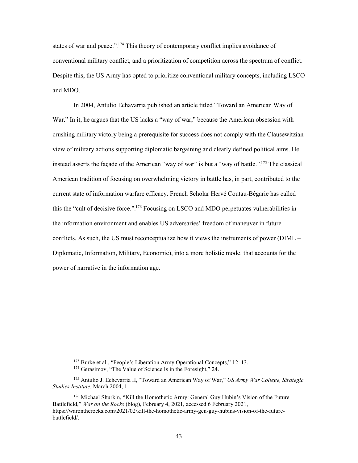states of war and peace."<sup>174</sup> This theory of contemporary conflict implies avoidance of conventional military conflict, and a prioritization of competition across the spectrum of conflict. Despite this, the US Army has opted to prioritize conventional military concepts, including LSCO and MDO.

In 2004, Antulio Echavarria published an article titled "Toward an American Way of War." In it, he argues that the US lacks a "way of war," because the American obsession with crushing military victory being a prerequisite for success does not comply with the Clausewitzian view of military actions supporting diplomatic bargaining and clearly defined political aims. He instead asserts the façade of the American "way of war" is but a "way of battle.".<sup>175</sup> The classical American tradition of focusing on overwhelming victory in battle has, in part, contributed to the current state of information warfare efficacy. French Scholar Hervé Coutau-Bégarie has called this the "cult of decisive force.".<sup>176</sup> Focusing on LSCO and MDO perpetuates vulnerabilities in the information environment and enables US adversaries' freedom of maneuver in future conflicts. As such, the US must reconceptualize how it views the instruments of power (DIME – Diplomatic, Information, Military, Economic), into a more holistic model that accounts for the power of narrative in the information age.

 <sup>173</sup> Burke et al., "People's Liberation Army Operational Concepts," 12–13.

<sup>&</sup>lt;sup>174</sup> Gerasimov, "The Value of Science Is in the Foresight," 24.

<sup>175</sup> Antulio J. Echevarria II, "Toward an American Way of War," *US Army War College, Strategic Studies Institute*, March 2004, 1.

<sup>176</sup> Michael Shurkin, "Kill the Homothetic Army: General Guy Hubin's Vision of the Future Battlefield," *War on the Rocks* (blog), February 4, 2021, accessed 6 February 2021, https://warontherocks.com/2021/02/kill-the-homothetic-army-gen-guy-hubins-vision-of-the-futurebattlefield/.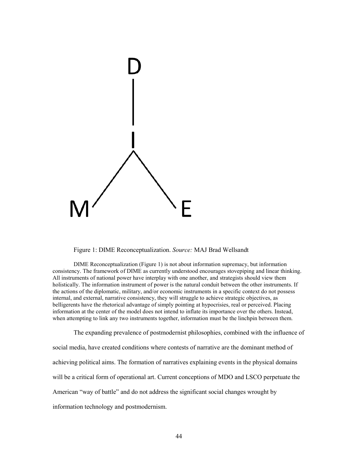

Figure 1: DIME Reconceptualization. *Source:* MAJ Brad Wellsandt

DIME Reconceptualization (Figure 1) is not about information supremacy, but information consistency. The framework of DIME as currently understood encourages stovepiping and linear thinking. All instruments of national power have interplay with one another, and strategists should view them holistically. The information instrument of power is the natural conduit between the other instruments. If the actions of the diplomatic, military, and/or economic instruments in a specific context do not possess internal, and external, narrative consistency, they will struggle to achieve strategic objectives, as belligerents have the rhetorical advantage of simply pointing at hypocrisies, real or perceived. Placing information at the center of the model does not intend to inflate its importance over the others. Instead, when attempting to link any two instruments together, information must be the linchpin between them.

The expanding prevalence of postmodernist philosophies, combined with the influence of social media, have created conditions where contests of narrative are the dominant method of achieving political aims. The formation of narratives explaining events in the physical domains will be a critical form of operational art. Current conceptions of MDO and LSCO perpetuate the American "way of battle" and do not address the significant social changes wrought by information technology and postmodernism.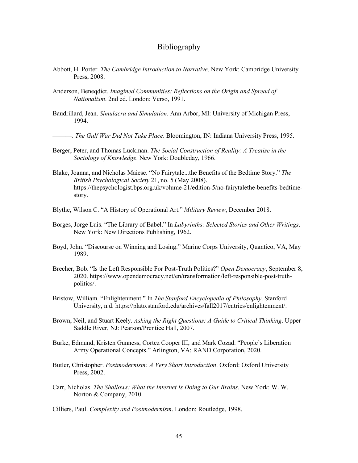#### Bibliography

- <span id="page-52-0"></span>Abbott, H. Porter. *The Cambridge Introduction to Narrative*. New York: Cambridge University Press, 2008.
- Anderson, Beneqdict. *Imagined Communities: Reflections on the Origin and Spread of Nationalism*. 2nd ed. London: Verso, 1991.
- Baudrillard, Jean. *Simulacra and Simulation*. Ann Arbor, MI: University of Michigan Press, 1994.
- ———. *The Gulf War Did Not Take Place*. Bloomington, IN: Indiana University Press, 1995.
- Berger, Peter, and Thomas Luckman. *The Social Construction of Reality: A Treatise in the Sociology of Knowledge*. New York: Doubleday, 1966.
- Blake, Joanna, and Nicholas Maiese. "No Fairytale...the Benefits of the Bedtime Story." *The British Psychological Society* 21, no. 5 (May 2008). https://thepsychologist.bps.org.uk/volume-21/edition-5/no-fairytalethe-benefits-bedtimestory.
- Blythe, Wilson C. "A History of Operational Art." *Military Review*, December 2018.
- Borges, Jorge Luis. "The Library of Babel." In *Labyrinths: Selected Stories and Other Writings*. New York: New Directions Publishing, 1962.
- Boyd, John. "Discourse on Winning and Losing." Marine Corps University, Quantico, VA, May 1989.
- Brecher, Bob. "Is the Left Responsible For Post-Truth Politics?" *Open Democracy*, September 8, 2020. https://www.opendemocracy.net/en/transformation/left-responsible-post-truthpolitics/.
- Bristow, William. "Enlightenment." In *The Stanford Encyclopedia of Philosophy*. Stanford University, n.d. https://plato.stanford.edu/archives/fall2017/entries/enlightenment/.
- Brown, Neil, and Stuart Keely. *Asking the Right Questions: A Guide to Critical Thinking*. Upper Saddle River, NJ: Pearson/Prentice Hall, 2007.
- Burke, Edmund, Kristen Gunness, Cortez Cooper III, and Mark Cozad. "People's Liberation Army Operational Concepts." Arlington, VA: RAND Corporation, 2020.
- Butler, Christopher. *Postmodernism: A Very Short Introduction*. Oxford: Oxford University Press, 2002.
- Carr, Nicholas. *The Shallows: What the Internet Is Doing to Our Brains*. New York: W. W. Norton & Company, 2010.

Cilliers, Paul. *Complexity and Postmodernism*. London: Routledge, 1998.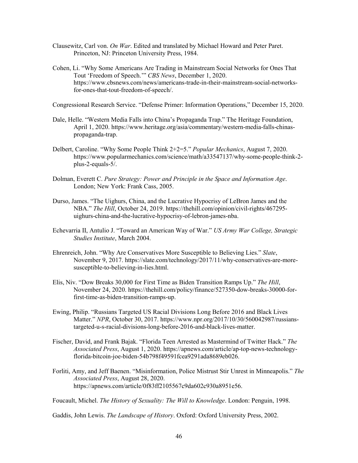- Clausewitz, Carl von. *On War*. Edited and translated by Michael Howard and Peter Paret. Princeton, NJ: Princeton University Press, 1984.
- Cohen, Li. "Why Some Americans Are Trading in Mainstream Social Networks for Ones That Tout 'Freedom of Speech.'" *CBS News*, December 1, 2020. https://www.cbsnews.com/news/americans-trade-in-their-mainstream-social-networksfor-ones-that-tout-freedom-of-speech/.

Congressional Research Service. "Defense Primer: Information Operations," December 15, 2020.

- Dale, Helle. "Western Media Falls into China's Propaganda Trap." The Heritage Foundation, April 1, 2020. https://www.heritage.org/asia/commentary/western-media-falls-chinaspropaganda-trap.
- Delbert, Caroline. "Why Some People Think 2+2=5." *Popular Mechanics*, August 7, 2020. https://www.popularmechanics.com/science/math/a33547137/why-some-people-think-2 plus-2-equals-5/.
- Dolman, Everett C. *Pure Strategy: Power and Principle in the Space and Information Age*. London; New York: Frank Cass, 2005.
- Durso, James. "The Uighurs, China, and the Lucrative Hypocrisy of LeBron James and the NBA." *The Hill*, October 24, 2019. https://thehill.com/opinion/civil-rights/467295 uighurs-china-and-the-lucrative-hypocrisy-of-lebron-james-nba.
- Echevarria II, Antulio J. "Toward an American Way of War." *US Army War College, Strategic Studies Institute*, March 2004.
- Ehrenreich, John. "Why Are Conservatives More Susceptible to Believing Lies." *Slate*, November 9, 2017. https://slate.com/technology/2017/11/why-conservatives-are-moresusceptible-to-believing-in-lies.html.
- Elis, Niv. "Dow Breaks 30,000 for First Time as Biden Transition Ramps Up." *The Hill*, November 24, 2020. https://thehill.com/policy/finance/527350-dow-breaks-30000-forfirst-time-as-biden-transition-ramps-up.
- Ewing, Philip. "Russians Targeted US Racial Divisions Long Before 2016 and Black Lives Matter." *NPR*, October 30, 2017. https://www.npr.org/2017/10/30/560042987/russianstargeted-u-s-racial-divisions-long-before-2016-and-black-lives-matter.
- Fischer, David, and Frank Bajak. "Florida Teen Arrested as Mastermind of Twitter Hack." *The Associated Press*, August 1, 2020. https://apnews.com/article/ap-top-news-technologyflorida-bitcoin-joe-biden-54b798f49591fcea9291ada8689eb026.
- Forliti, Amy, and Jeff Baenen. "Misinformation, Police Mistrust Stir Unrest in Minneapolis." *The Associated Press*, August 28, 2020. https://apnews.com/article/0f83ff2105567c9da602c930a8951e56.

Foucault, Michel. *The History of Sexuality: The Will to Knowledge*. London: Penguin, 1998.

Gaddis, John Lewis. *The Landscape of History*. Oxford: Oxford University Press, 2002.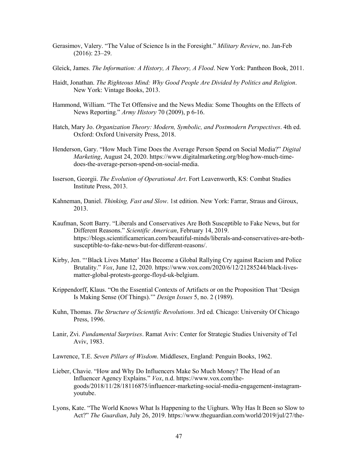- Gerasimov, Valery. "The Value of Science Is in the Foresight." *Military Review*, no. Jan-Feb (2016): 23–29.
- Gleick, James. *The Information: A History, A Theory, A Flood*. New York: Pantheon Book, 2011.
- Haidt, Jonathan. *The Righteous Mind: Why Good People Are Divided by Politics and Religion*. New York: Vintage Books, 2013.
- Hammond, William. "The Tet Offensive and the News Media: Some Thoughts on the Effects of News Reporting." *Army History* 70 (2009), p 6-16.
- Hatch, Mary Jo. *Organization Theory: Modern, Symbolic, and Postmodern Perspectives*. 4th ed. Oxford: Oxford University Press, 2018.
- Henderson, Gary. "How Much Time Does the Average Person Spend on Social Media?" *Digital Marketing*, August 24, 2020. https://www.digitalmarketing.org/blog/how-much-timedoes-the-average-person-spend-on-social-media.
- Isserson, Georgii. *The Evolution of Operational Art*. Fort Leavenworth, KS: Combat Studies Institute Press, 2013.
- Kahneman, Daniel. *Thinking, Fast and Slow*. 1st edition. New York: Farrar, Straus and Giroux, 2013.
- Kaufman, Scott Barry. "Liberals and Conservatives Are Both Susceptible to Fake News, but for Different Reasons." *Scientific American*, February 14, 2019. https://blogs.scientificamerican.com/beautiful-minds/liberals-and-conservatives-are-bothsusceptible-to-fake-news-but-for-different-reasons/.
- Kirby, Jen. "'Black Lives Matter' Has Become a Global Rallying Cry against Racism and Police Brutality." *Vox*, June 12, 2020. https://www.vox.com/2020/6/12/21285244/black-livesmatter-global-protests-george-floyd-uk-belgium.
- Krippendorff, Klaus. "On the Essential Contexts of Artifacts or on the Proposition That 'Design Is Making Sense (Of Things).'" *Design Issues* 5, no. 2 (1989).
- Kuhn, Thomas. *The Structure of Scientific Revolutions*. 3rd ed. Chicago: University Of Chicago Press, 1996.
- Lanir, Zvi. *Fundamental Surprises*. Ramat Aviv: Center for Strategic Studies University of Tel Aviv, 1983.
- Lawrence, T.E. *Seven Pillars of Wisdom*. Middlesex, England: Penguin Books, 1962.
- Lieber, Chavie. "How and Why Do Influencers Make So Much Money? The Head of an Influencer Agency Explains." *Vox*, n.d. https://www.vox.com/thegoods/2018/11/28/18116875/influencer-marketing-social-media-engagement-instagramyoutube.
- Lyons, Kate. "The World Knows What Is Happening to the Uighurs. Why Has It Been so Slow to Act?" *The Guardian*, July 26, 2019. https://www.theguardian.com/world/2019/jul/27/the-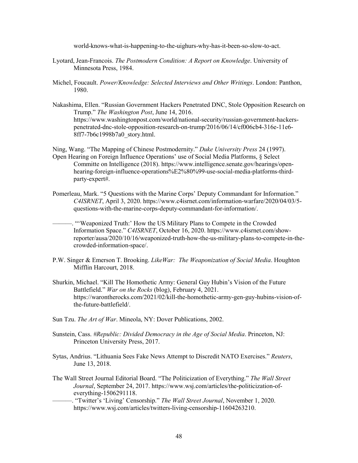world-knows-what-is-happening-to-the-uighurs-why-has-it-been-so-slow-to-act.

- Lyotard, Jean-Francois. *The Postmodern Condition: A Report on Knowledge*. University of Minnesota Press, 1984.
- Michel, Foucault. *Power/Knowledge: Selected Interviews and Other Writings*. London: Panthon, 1980.
- Nakashima, Ellen. "Russian Government Hackers Penetrated DNC, Stole Opposition Research on Trump." *The Washington Post*, June 14, 2016. https://www.washingtonpost.com/world/national-security/russian-government-hackerspenetrated-dnc-stole-opposition-research-on-trump/2016/06/14/cf006cb4-316e-11e6- 8ff7-7b6c1998b7a0\_story.html.

Ning, Wang. "The Mapping of Chinese Postmodernity." *Duke University Press* 24 (1997). Open Hearing on Foreign Influence Operations' use of Social Media Platforms, § Select Committe on Intelligence (2018). https://www.intelligence.senate.gov/hearings/openhearing-foreign-influence-operations%E2%80%99-use-social-media-platforms-thirdparty-expert#.

Pomerleau, Mark. "5 Questions with the Marine Corps' Deputy Commandant for Information." *C4ISRNET*, April 3, 2020. https://www.c4isrnet.com/information-warfare/2020/04/03/5 questions-with-the-marine-corps-deputy-commandant-for-information/.

-. "'Weaponized Truth:' How the US Military Plans to Compete in the Crowded Information Space." *C4ISRNET*, October 16, 2020. https://www.c4isrnet.com/showreporter/ausa/2020/10/16/weaponized-truth-how-the-us-military-plans-to-compete-in-thecrowded-information-space/.

- P.W. Singer & Emerson T. Brooking. *LikeWar: The Weaponization of Social Media*. Houghton Mifflin Harcourt, 2018.
- Shurkin, Michael. "Kill The Homothetic Army: General Guy Hubin's Vision of the Future Battlefield." *War on the Rocks* (blog), February 4, 2021. https://warontherocks.com/2021/02/kill-the-homothetic-army-gen-guy-hubins-vision-ofthe-future-battlefield/.
- Sun Tzu. *The Art of War*. Mineola, NY: Dover Publications, 2002.
- Sunstein, Cass. *#Republic: Divided Democracy in the Age of Social Media*. Princeton, NJ: Princeton University Press, 2017.
- Sytas, Andrius. "Lithuania Sees Fake News Attempt to Discredit NATO Exercises." *Reuters*, June 13, 2018.
- The Wall Street Journal Editorial Board. "The Politicization of Everything." *The Wall Street Journal*, September 24, 2017. https://www.wsj.com/articles/the-politicization-ofeverything-1506291118.
	- ———. "Twitter's 'Living' Censorship." *The Wall Street Journal*, November 1, 2020. https://www.wsj.com/articles/twitters-living-censorship-11604263210.